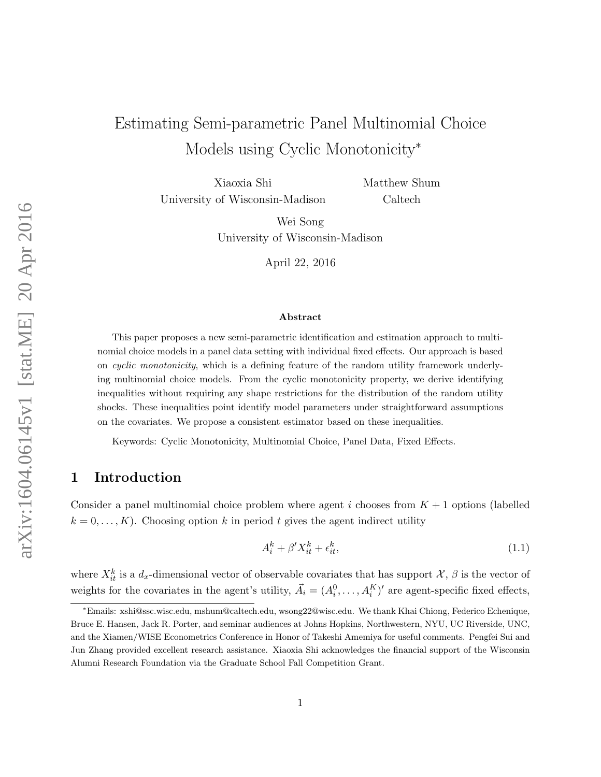# Estimating Semi-parametric Panel Multinomial Choice Models using Cyclic Monotonicity<sup>∗</sup>

Xiaoxia Shi University of Wisconsin-Madison Matthew Shum Caltech

Wei Song University of Wisconsin-Madison

April 22, 2016

#### Abstract

This paper proposes a new semi-parametric identification and estimation approach to multinomial choice models in a panel data setting with individual fixed effects. Our approach is based on cyclic monotonicity, which is a defining feature of the random utility framework underlying multinomial choice models. From the cyclic monotonicity property, we derive identifying inequalities without requiring any shape restrictions for the distribution of the random utility shocks. These inequalities point identify model parameters under straightforward assumptions on the covariates. We propose a consistent estimator based on these inequalities.

Keywords: Cyclic Monotonicity, Multinomial Choice, Panel Data, Fixed Effects.

### 1 Introduction

Consider a panel multinomial choice problem where agent i chooses from  $K + 1$  options (labelled  $k = 0, \ldots, K$ . Choosing option k in period t gives the agent indirect utility

<span id="page-0-0"></span>
$$
A_i^k + \beta' X_{it}^k + \epsilon_{it}^k,\tag{1.1}
$$

where  $X_{it}^k$  is a  $d_x$ -dimensional vector of observable covariates that has support  $\mathcal{X}, \beta$  is the vector of weights for the covariates in the agent's utility,  $\vec{A}_i = (A_i^0, \ldots, A_i^K)'$  are agent-specific fixed effects,

<sup>∗</sup>Emails: xshi@ssc.wisc.edu, mshum@caltech.edu, wsong22@wisc.edu. We thank Khai Chiong, Federico Echenique, Bruce E. Hansen, Jack R. Porter, and seminar audiences at Johns Hopkins, Northwestern, NYU, UC Riverside, UNC, and the Xiamen/WISE Econometrics Conference in Honor of Takeshi Amemiya for useful comments. Pengfei Sui and Jun Zhang provided excellent research assistance. Xiaoxia Shi acknowledges the financial support of the Wisconsin Alumni Research Foundation via the Graduate School Fall Competition Grant.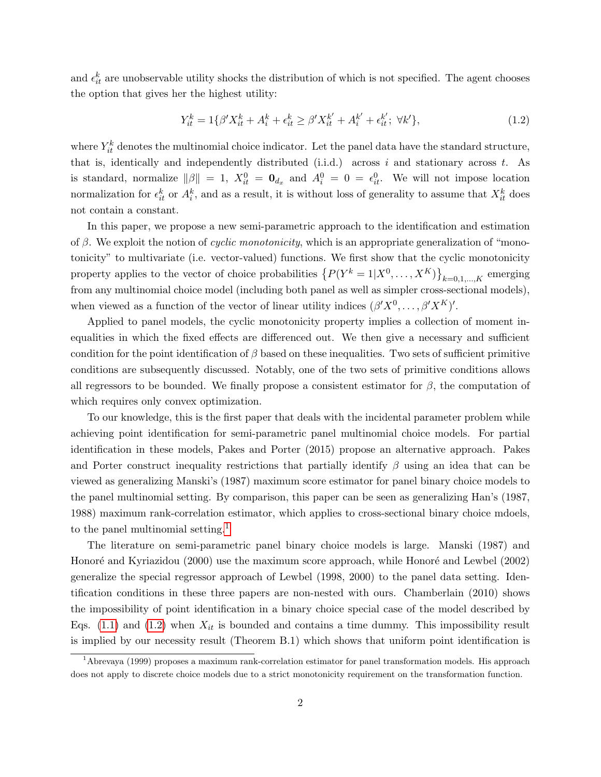and  $\epsilon_{it}^k$  are unobservable utility shocks the distribution of which is not specified. The agent chooses the option that gives her the highest utility:

<span id="page-1-1"></span>
$$
Y_{it}^{k} = 1\{\beta'X_{it}^{k} + A_{i}^{k} + \epsilon_{it}^{k} \ge \beta'X_{it}^{k'} + A_{i}^{k'} + \epsilon_{it}^{k'}; \ \forall k'\},\tag{1.2}
$$

where  $Y_{it}^k$  denotes the multinomial choice indicator. Let the panel data have the standard structure, that is, identically and independently distributed (i.i.d.) across i and stationary across  $t$ . As is standard, normalize  $\|\beta\| = 1$ ,  $X_{it}^0 = \mathbf{0}_{d_x}$  and  $A_i^0 = 0 = \epsilon_{it}^0$ . We will not impose location normalization for  $\epsilon_{it}^k$  or  $A_i^k$ , and as a result, it is without loss of generality to assume that  $X_{it}^k$  does not contain a constant.

In this paper, we propose a new semi-parametric approach to the identification and estimation of  $\beta$ . We exploit the notion of *cyclic monotonicity*, which is an appropriate generalization of "monotonicity" to multivariate (i.e. vector-valued) functions. We first show that the cyclic monotonicity property applies to the vector of choice probabilities  $\{P(Y^k=1|X^0,\ldots,X^K)\}_{k=0,1,\ldots,K}$  emerging from any multinomial choice model (including both panel as well as simpler cross-sectional models), when viewed as a function of the vector of linear utility indices  $(\beta'X^0, \ldots, \beta'X^K)'$ .

Applied to panel models, the cyclic monotonicity property implies a collection of moment inequalities in which the fixed effects are differenced out. We then give a necessary and sufficient condition for the point identification of  $\beta$  based on these inequalities. Two sets of sufficient primitive conditions are subsequently discussed. Notably, one of the two sets of primitive conditions allows all regressors to be bounded. We finally propose a consistent estimator for  $\beta$ , the computation of which requires only convex optimization.

To our knowledge, this is the first paper that deals with the incidental parameter problem while achieving point identification for semi-parametric panel multinomial choice models. For partial identification in these models, Pakes and Porter (2015) propose an alternative approach. Pakes and Porter construct inequality restrictions that partially identify  $\beta$  using an idea that can be viewed as generalizing Manski's (1987) maximum score estimator for panel binary choice models to the panel multinomial setting. By comparison, this paper can be seen as generalizing Han's (1987, 1988) maximum rank-correlation estimator, which applies to cross-sectional binary choice mdoels, to the panel multinomial setting.<sup>[1](#page-1-0)</sup>

The literature on semi-parametric panel binary choice models is large. Manski (1987) and Honoré and Kyriazidou (2000) use the maximum score approach, while Honoré and Lewbel (2002) generalize the special regressor approach of Lewbel (1998, 2000) to the panel data setting. Identification conditions in these three papers are non-nested with ours. Chamberlain (2010) shows the impossibility of point identification in a binary choice special case of the model described by Eqs.  $(1.1)$  and  $(1.2)$  when  $X_{it}$  is bounded and contains a time dummy. This impossibility result is implied by our necessity result (Theorem B.1) which shows that uniform point identification is

<span id="page-1-0"></span><sup>1</sup>Abrevaya (1999) proposes a maximum rank-correlation estimator for panel transformation models. His approach does not apply to discrete choice models due to a strict monotonicity requirement on the transformation function.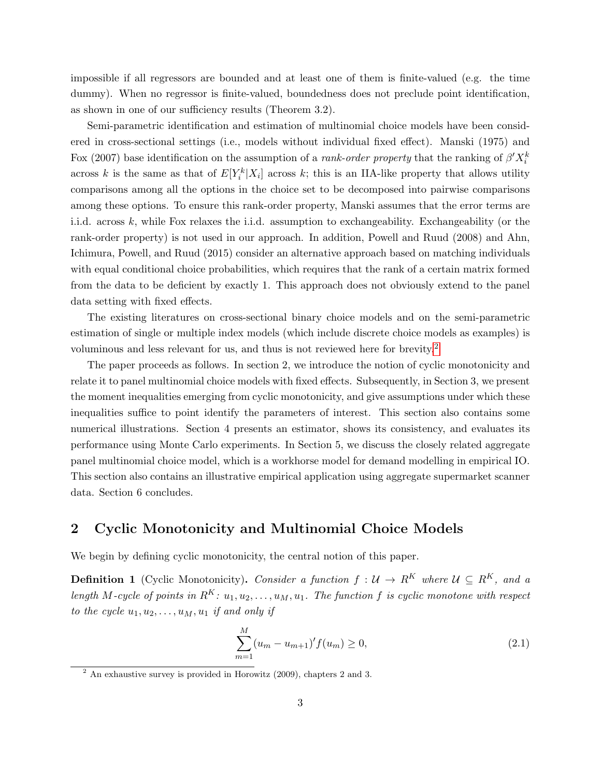impossible if all regressors are bounded and at least one of them is finite-valued (e.g. the time dummy). When no regressor is finite-valued, boundedness does not preclude point identification, as shown in one of our sufficiency results (Theorem 3.2).

Semi-parametric identification and estimation of multinomial choice models have been considered in cross-sectional settings (i.e., models without individual fixed effect). Manski (1975) and Fox (2007) base identification on the assumption of a *rank-order property* that the ranking of  $\beta' X_i^k$ across k is the same as that of  $E[Y_i^k|X_i]$  across k; this is an IIA-like property that allows utility comparisons among all the options in the choice set to be decomposed into pairwise comparisons among these options. To ensure this rank-order property, Manski assumes that the error terms are i.i.d. across k, while Fox relaxes the i.i.d. assumption to exchangeability. Exchangeability (or the rank-order property) is not used in our approach. In addition, Powell and Ruud (2008) and Ahn, Ichimura, Powell, and Ruud (2015) consider an alternative approach based on matching individuals with equal conditional choice probabilities, which requires that the rank of a certain matrix formed from the data to be deficient by exactly 1. This approach does not obviously extend to the panel data setting with fixed effects.

The existing literatures on cross-sectional binary choice models and on the semi-parametric estimation of single or multiple index models (which include discrete choice models as examples) is voluminous and less relevant for us, and thus is not reviewed here for brevity.[2](#page-2-0)

The paper proceeds as follows. In section 2, we introduce the notion of cyclic monotonicity and relate it to panel multinomial choice models with fixed effects. Subsequently, in Section 3, we present the moment inequalities emerging from cyclic monotonicity, and give assumptions under which these inequalities suffice to point identify the parameters of interest. This section also contains some numerical illustrations. Section 4 presents an estimator, shows its consistency, and evaluates its performance using Monte Carlo experiments. In Section 5, we discuss the closely related aggregate panel multinomial choice model, which is a workhorse model for demand modelling in empirical IO. This section also contains an illustrative empirical application using aggregate supermarket scanner data. Section 6 concludes.

### 2 Cyclic Monotonicity and Multinomial Choice Models

We begin by defining cyclic monotonicity, the central notion of this paper.

**Definition 1** (Cyclic Monotonicity). Consider a function  $f: \mathcal{U} \to \mathbb{R}^K$  where  $\mathcal{U} \subseteq \mathbb{R}^K$ , and a length M-cycle of points in  $R^K: u_1, u_2, \ldots, u_M, u_1$ . The function f is cyclic monotone with respect to the cycle  $u_1, u_2, \ldots, u_M, u_1$  if and only if

$$
\sum_{m=1}^{M} (u_m - u_{m+1})' f(u_m) \ge 0,
$$
\n(2.1)

<span id="page-2-0"></span><sup>2</sup> An exhaustive survey is provided in Horowitz (2009), chapters 2 and 3.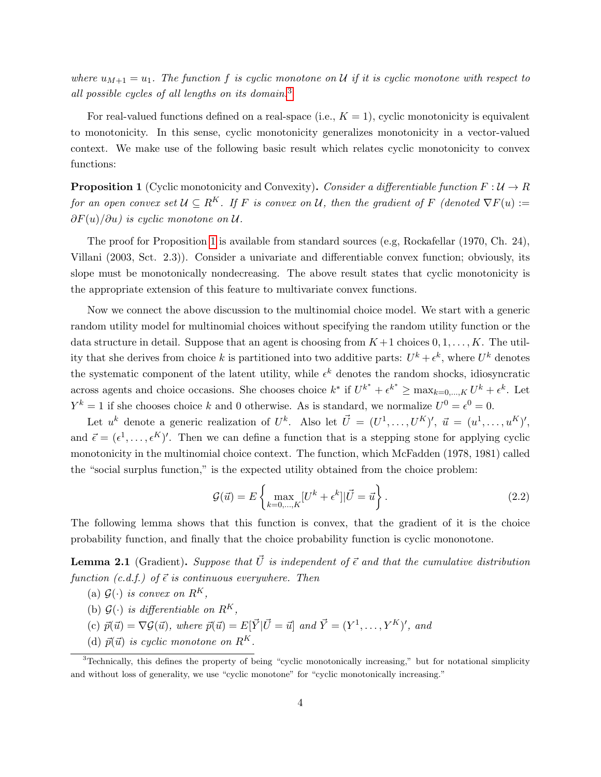where  $u_{M+1} = u_1$ . The function f is cyclic monotone on U if it is cyclic monotone with respect to all possible cycles of all lengths on its domain.[3](#page-3-0)

For real-valued functions defined on a real-space (i.e.,  $K = 1$ ), cyclic monotonicity is equivalent to monotonicity. In this sense, cyclic monotonicity generalizes monotonicity in a vector-valued context. We make use of the following basic result which relates cyclic monotonicity to convex functions:

<span id="page-3-1"></span>**Proposition 1** (Cyclic monotonicity and Convexity). Consider a differentiable function  $F: U \to R$ for an open convex set  $\mathcal{U} \subseteq R^K$ . If F is convex on U, then the gradient of F (denoted  $\nabla F(u) :=$  $\partial F(u)/\partial u$ ) is cyclic monotone on U.

The proof for Proposition [1](#page-3-1) is available from standard sources (e.g, Rockafellar (1970, Ch. 24), Villani (2003, Sct. 2.3)). Consider a univariate and differentiable convex function; obviously, its slope must be monotonically nondecreasing. The above result states that cyclic monotonicity is the appropriate extension of this feature to multivariate convex functions.

Now we connect the above discussion to the multinomial choice model. We start with a generic random utility model for multinomial choices without specifying the random utility function or the data structure in detail. Suppose that an agent is choosing from  $K+1$  choices  $0, 1, \ldots, K$ . The utility that she derives from choice k is partitioned into two additive parts:  $U^k + \epsilon^k$ , where  $U^k$  denotes the systematic component of the latent utility, while  $\epsilon^k$  denotes the random shocks, idiosyncratic across agents and choice occasions. She chooses choice  $k^*$  if  $U^{k^*} + \epsilon^{k^*} \ge \max_{k=0,\dots,K} U^k + \epsilon^k$ . Let  $Y^k = 1$  if she chooses choice k and 0 otherwise. As is standard, we normalize  $U^0 = \epsilon^0 = 0$ .

Let  $u^k$  denote a generic realization of  $U^k$ . Also let  $\vec{U} = (U^1, \ldots, U^K)'$ ,  $\vec{u} = (u^1, \ldots, u^K)'$ , and  $\vec{\epsilon} = (\epsilon^1, \ldots, \epsilon^K)'$ . Then we can define a function that is a stepping stone for applying cyclic monotonicity in the multinomial choice context. The function, which McFadden (1978, 1981) called the "social surplus function," is the expected utility obtained from the choice problem:

$$
\mathcal{G}(\vec{u}) = E\left\{\max_{k=0,\dots,K} [U^k + \epsilon^k] | \vec{U} = \vec{u} \right\}.
$$
\n(2.2)

The following lemma shows that this function is convex, that the gradient of it is the choice probability function, and finally that the choice probability function is cyclic mononotone.

<span id="page-3-2"></span>**Lemma 2.1** (Gradient). Suppose that  $\vec{U}$  is independent of  $\vec{\epsilon}$  and that the cumulative distribution function  $(c.d.f.)$  of  $\vec{\epsilon}$  is continuous everywhere. Then

- (a)  $\mathcal{G}(\cdot)$  is convex on  $R^K$ ,
- (b)  $\mathcal{G}(\cdot)$  is differentiable on  $R^K$ ,
- (c)  $\vec{p}(\vec{u}) = \nabla \mathcal{G}(\vec{u})$ , where  $\vec{p}(\vec{u}) = E[\vec{Y} | \vec{U} = \vec{u}]$  and  $\vec{Y} = (Y^1, \dots, Y^K)'$ , and
- <span id="page-3-0"></span>(d)  $\vec{p}(\vec{u})$  is cyclic monotone on  $R^K$ .

<sup>&</sup>lt;sup>3</sup>Technically, this defines the property of being "cyclic monotonically increasing," but for notational simplicity and without loss of generality, we use "cyclic monotone" for "cyclic monotonically increasing."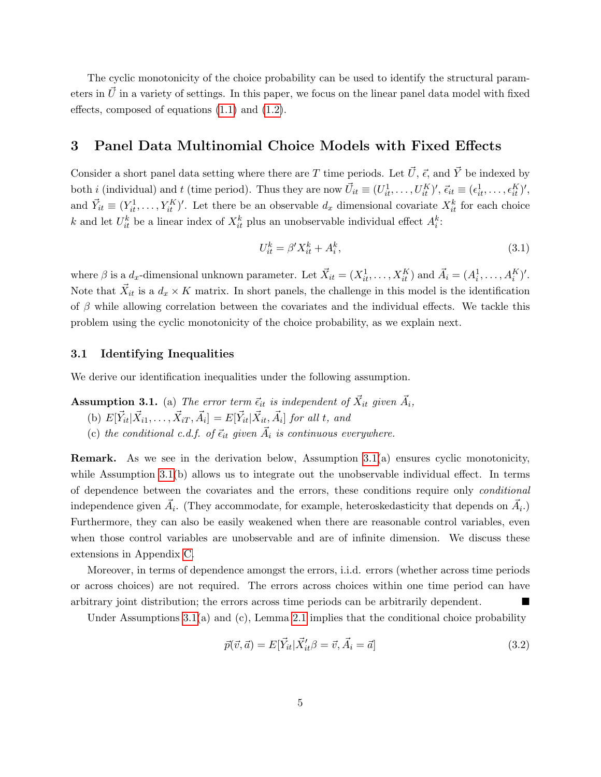The cyclic monotonicity of the choice probability can be used to identify the structural parameters in  $\vec{U}$  in a variety of settings. In this paper, we focus on the linear panel data model with fixed effects, composed of equations [\(1.1\)](#page-0-0) and [\(1.2\)](#page-1-1).

### 3 Panel Data Multinomial Choice Models with Fixed Effects

Consider a short panel data setting where there are T time periods. Let  $\vec{U}$ ,  $\vec{\epsilon}$ , and  $\vec{Y}$  be indexed by both *i* (individual) and *t* (time period). Thus they are now  $\vec{U}_{it} \equiv (U_{it}^1, \ldots, U_{it}^K)'$ ,  $\vec{\epsilon}_{it} \equiv (\epsilon_{it}^1, \ldots, \epsilon_{it}^K)'$ , and  $\vec{Y}_{it} \equiv (Y_{it}^1, \ldots, Y_{it}^K)'$ . Let there be an observable  $d_x$  dimensional covariate  $X_{it}^k$  for each choice k and let  $U_{it}^k$  be a linear index of  $X_{it}^k$  plus an unobservable individual effect  $A_i^k$ :

$$
U_{it}^k = \beta' X_{it}^k + A_i^k,\tag{3.1}
$$

where  $\beta$  is a  $d_x$ -dimensional unknown parameter. Let  $\vec{X}_{it} = (X_{it}^1, \ldots, X_{it}^K)$  and  $\vec{A}_i = (A_i^1, \ldots, A_i^K)'$ . Note that  $\vec{X}_{it}$  is a  $d_x \times K$  matrix. In short panels, the challenge in this model is the identification of  $\beta$  while allowing correlation between the covariates and the individual effects. We tackle this problem using the cyclic monotonicity of the choice probability, as we explain next.

#### 3.1 Identifying Inequalities

We derive our identification inequalities under the following assumption.

### <span id="page-4-0"></span>**Assumption 3.1.** (a) The error term  $\vec{\epsilon}_{it}$  is independent of  $\vec{X}_{it}$  given  $\vec{A}_i$ ,

- (b)  $E[\vec{Y}_{it} | \vec{X}_{i1}, \dots, \vec{X}_{iT}, \vec{A}_i] = E[\vec{Y}_{it} | \vec{X}_{it}, \vec{A}_i]$  for all t, and
- (c) the conditional c.d.f. of  $\vec{\epsilon}_{it}$  given  $\vec{A}_i$  is continuous everywhere.

Remark. As we see in the derivation below, Assumption [3.1\(](#page-4-0)a) ensures cyclic monotonicity, while Assumption [3.1\(](#page-4-0)b) allows us to integrate out the unobservable individual effect. In terms of dependence between the covariates and the errors, these conditions require only conditional independence given  $\vec{A}_i$ . (They accommodate, for example, heteroskedasticity that depends on  $\vec{A}_i$ .) Furthermore, they can also be easily weakened when there are reasonable control variables, even when those control variables are unobservable and are of infinite dimension. We discuss these extensions in Appendix [C.](#page-25-0)

Moreover, in terms of dependence amongst the errors, i.i.d. errors (whether across time periods or across choices) are not required. The errors across choices within one time period can have arbitrary joint distribution; the errors across time periods can be arbitrarily dependent.

Under Assumptions  $3.1(a)$  and  $(c)$ , Lemma  $2.1$  implies that the conditional choice probability

<span id="page-4-1"></span>
$$
\vec{p}(\vec{v}, \vec{a}) = E[\vec{Y}_{it} | \vec{X}_{it}' \beta = \vec{v}, \vec{A}_i = \vec{a}]. \tag{3.2}
$$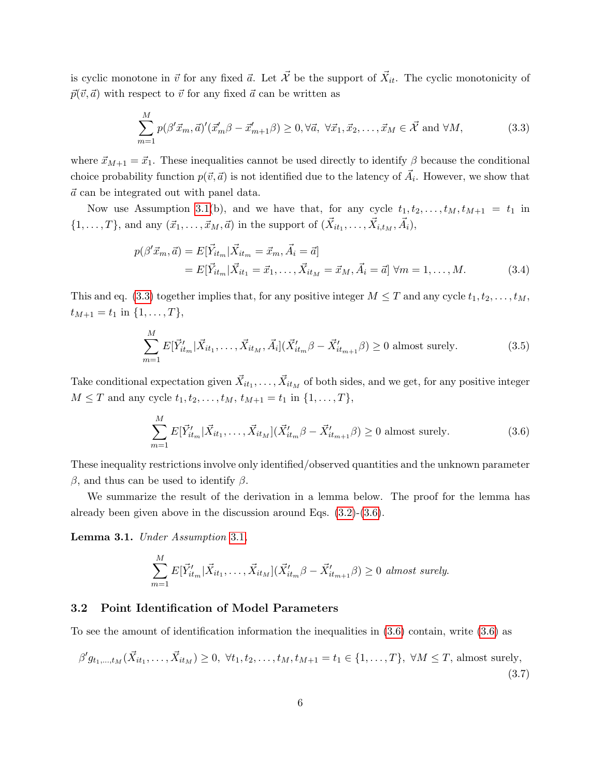is cyclic monotone in  $\vec{v}$  for any fixed  $\vec{a}$ . Let  $\vec{X}$  be the support of  $\vec{X}_{it}$ . The cyclic monotonicity of  $\vec{p}(\vec{v}, \vec{a})$  with respect to  $\vec{v}$  for any fixed  $\vec{a}$  can be written as

<span id="page-5-0"></span>
$$
\sum_{m=1}^{M} p(\beta'\vec{x}_m, \vec{a})' (\vec{x}'_m \beta - \vec{x}'_{m+1} \beta) \ge 0, \forall \vec{a}, \forall \vec{x}_1, \vec{x}_2, \dots, \vec{x}_M \in \vec{\mathcal{X}} \text{ and } \forall M,
$$
\n(3.3)

where  $\vec{x}_{M+1} = \vec{x}_1$ . These inequalities cannot be used directly to identify  $\beta$  because the conditional choice probability function  $p(\vec{v}, \vec{a})$  is not identified due to the latency of  $\vec{A}_i$ . However, we show that  $\vec{a}$  can be integrated out with panel data.

Now use Assumption [3.1\(](#page-4-0)b), and we have that, for any cycle  $t_1, t_2, \ldots, t_M, t_{M+1} = t_1$  in  $\{1, \ldots, T\}$ , and any  $(\vec{x}_1, \ldots, \vec{x}_M, \vec{a})$  in the support of  $(\vec{X}_{it_1}, \ldots, \vec{X}_{i,t_M}, \vec{A}_i)$ ,

$$
p(\beta' \vec{x}_m, \vec{a}) = E[\vec{Y}_{it_m} | \vec{X}_{it_m} = \vec{x}_m, \vec{A}_i = \vec{a}]
$$
  
=  $E[\vec{Y}_{it_m} | \vec{X}_{it_1} = \vec{x}_1, \dots, \vec{X}_{it_M} = \vec{x}_M, \vec{A}_i = \vec{a}] \ \forall m = 1, \dots, M.$  (3.4)

This and eq. [\(3.3\)](#page-5-0) together implies that, for any positive integer  $M \leq T$  and any cycle  $t_1, t_2, \ldots, t_M$ ,  $t_{M+1} = t_1$  in  $\{1, \ldots, T\},\$ 

$$
\sum_{m=1}^{M} E[\vec{Y}'_{it_m} | \vec{X}_{it_1}, \dots, \vec{X}_{it_M}, \vec{A}_i] (\vec{X}'_{it_m} \beta - \vec{X}'_{it_{m+1}} \beta) \ge 0 \text{ almost surely.}
$$
\n(3.5)

Take conditional expectation given  $\vec{X}_{it_1}, \ldots, \vec{X}_{it_M}$  of both sides, and we get, for any positive integer  $M \leq T$  and any cycle  $t_1, t_2, \ldots, t_M, t_{M+1} = t_1$  in  $\{1, \ldots, T\},$ 

<span id="page-5-1"></span>
$$
\sum_{m=1}^{M} E[\vec{Y}'_{it_m} | \vec{X}_{it_1}, \dots, \vec{X}_{it_M}](\vec{X}'_{it_m} \beta - \vec{X}'_{it_{m+1}} \beta) \ge 0 \text{ almost surely.}
$$
\n(3.6)

These inequality restrictions involve only identified/observed quantities and the unknown parameter  $β$ , and thus can be used to identify  $β$ .

We summarize the result of the derivation in a lemma below. The proof for the lemma has already been given above in the discussion around Eqs. [\(3.2\)](#page-4-1)-[\(3.6\)](#page-5-1).

<span id="page-5-2"></span>Lemma 3.1. Under Assumption [3.1](#page-4-0),

$$
\sum_{m=1}^{M} E[\vec{Y}_{it_m}' | \vec{X}_{it_1}, \dots, \vec{X}_{it_M}] (\vec{X}_{it_m}' \beta - \vec{X}'_{it_{m+1}} \beta) \ge 0 \text{ almost surely.}
$$

#### 3.2 Point Identification of Model Parameters

To see the amount of identification information the inequalities in [\(3.6\)](#page-5-1) contain, write [\(3.6\)](#page-5-1) as

<span id="page-5-3"></span>
$$
\beta' g_{t_1,\dots,t_M}(\vec{X}_{it_1},\dots,\vec{X}_{it_M}) \ge 0, \ \forall t_1, t_2,\dots,t_M, t_{M+1} = t_1 \in \{1,\dots,T\}, \ \forall M \le T, \text{ almost surely},\tag{3.7}
$$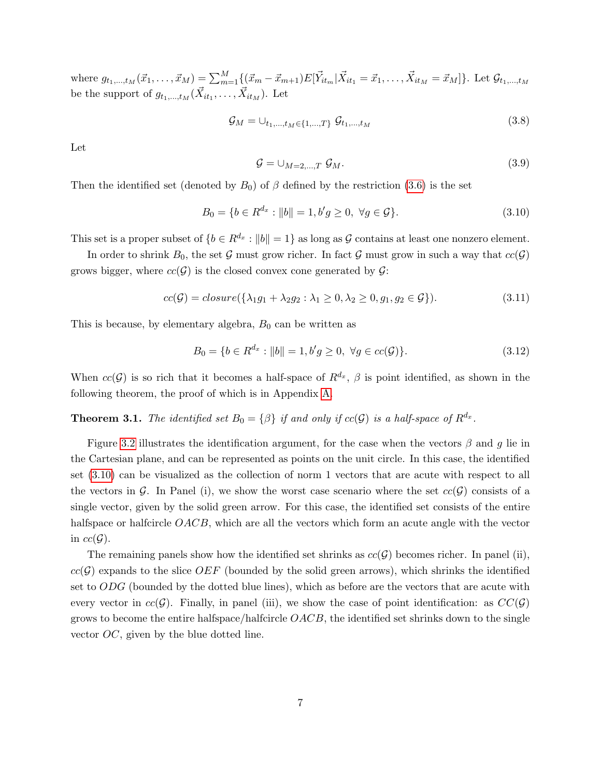where  $g_{t_1,...,t_M}(\vec{x}_1,..., \vec{x}_M) = \sum_{m=1}^M \{(\vec{x}_m - \vec{x}_{m+1}) E[\vec{Y}_{it_m} | \vec{X}_{it_1} = \vec{x}_1,..., \vec{X}_{it_M} = \vec{x}_M]\}.$  Let  $\mathcal{G}_{t_1,...,t_M}$ be the support of  $g_{t_1,...,t_M}(\vec{X}_{it_1},..., \vec{X}_{it_M})$ . Let

$$
\mathcal{G}_M = \bigcup_{t_1, \dots, t_M \in \{1, \dots, T\}} \mathcal{G}_{t_1, \dots, t_M}
$$
\n(3.8)

Let

$$
\mathcal{G} = \cup_{M=2,\dots,T} \mathcal{G}_M. \tag{3.9}
$$

Then the identified set (denoted by  $B_0$ ) of  $\beta$  defined by the restriction [\(3.6\)](#page-5-1) is the set

<span id="page-6-1"></span>
$$
B_0 = \{ b \in R^{d_x} : ||b|| = 1, b'g \ge 0, \ \forall g \in \mathcal{G} \}.
$$
\n(3.10)

This set is a proper subset of  $\{b \in R^{d_x} : ||b|| = 1\}$  as long as G contains at least one nonzero element.

In order to shrink  $B_0$ , the set G must grow richer. In fact G must grow in such a way that  $cc(G)$ grows bigger, where  $cc(\mathcal{G})$  is the closed convex cone generated by  $\mathcal{G}$ :

$$
cc(\mathcal{G}) = closure(\{\lambda_1 g_1 + \lambda_2 g_2 : \lambda_1 \ge 0, \lambda_2 \ge 0, g_1, g_2 \in \mathcal{G}\}).
$$
\n
$$
(3.11)
$$

This is because, by elementary algebra,  $B_0$  can be written as

$$
B_0 = \{ b \in R^{d_x} : ||b|| = 1, b'g \ge 0, \ \forall g \in cc(\mathcal{G}) \}. \tag{3.12}
$$

When  $cc(\mathcal{G})$  is so rich that it becomes a half-space of  $\mathbb{R}^{d_x}$ ,  $\beta$  is point identified, as shown in the following theorem, the proof of which is in Appendix [A.](#page-19-0)

<span id="page-6-0"></span>**Theorem 3.1.** The identified set  $B_0 = \{\beta\}$  if and only if  $cc(\mathcal{G})$  is a half-space of  $R^{d_x}$ .

Figure [3.2](#page-6-0) illustrates the identification argument, for the case when the vectors  $\beta$  and q lie in the Cartesian plane, and can be represented as points on the unit circle. In this case, the identified set [\(3.10\)](#page-6-1) can be visualized as the collection of norm 1 vectors that are acute with respect to all the vectors in G. In Panel (i), we show the worst case scenario where the set  $cc(G)$  consists of a single vector, given by the solid green arrow. For this case, the identified set consists of the entire halfspace or halfcircle OACB, which are all the vectors which form an acute angle with the vector in  $cc(\mathcal{G})$ .

The remaining panels show how the identified set shrinks as  $cc(\mathcal{G})$  becomes richer. In panel (ii),  $cc(\mathcal{G})$  expands to the slice OEF (bounded by the solid green arrows), which shrinks the identified set to  $ODG$  (bounded by the dotted blue lines), which as before are the vectors that are acute with every vector in  $cc(\mathcal{G})$ . Finally, in panel (iii), we show the case of point identification: as  $CC(\mathcal{G})$ grows to become the entire halfspace/halfcircle  $OACB$ , the identified set shrinks down to the single vector OC, given by the blue dotted line.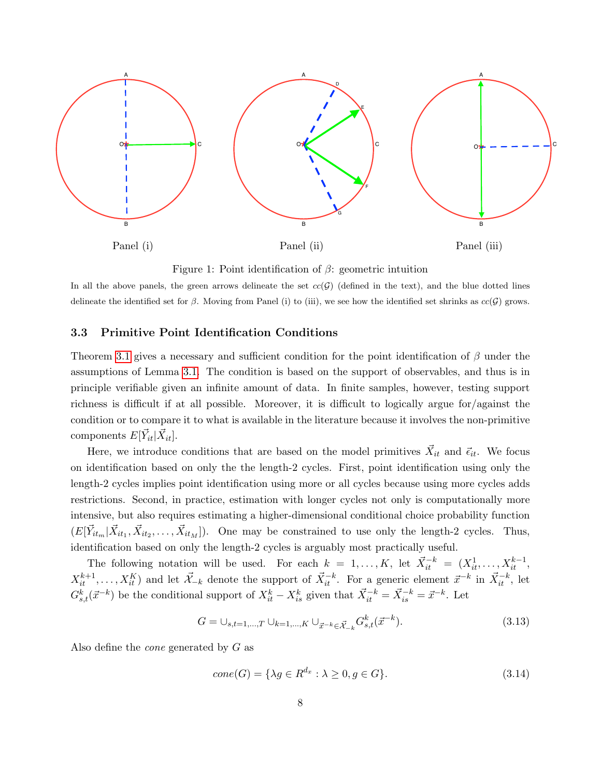

Figure 1: Point identification of  $\beta$ : geometric intuition

In all the above panels, the green arrows delineate the set  $cc(G)$  (defined in the text), and the blue dotted lines delineate the identified set for  $\beta$ . Moving from Panel (i) to (iii), we see how the identified set shrinks as  $cc(\mathcal{G})$  grows.

#### 3.3 Primitive Point Identification Conditions

Theorem [3.1](#page-6-0) gives a necessary and sufficient condition for the point identification of  $\beta$  under the assumptions of Lemma [3.1.](#page-5-2) The condition is based on the support of observables, and thus is in principle verifiable given an infinite amount of data. In finite samples, however, testing support richness is difficult if at all possible. Moreover, it is difficult to logically argue for/against the condition or to compare it to what is available in the literature because it involves the non-primitive components  $E[\vec{Y}_{it}|\vec{X}_{it}].$ 

Here, we introduce conditions that are based on the model primitives  $\vec{X}_{it}$  and  $\vec{\epsilon}_{it}$ . We focus on identification based on only the the length-2 cycles. First, point identification using only the length-2 cycles implies point identification using more or all cycles because using more cycles adds restrictions. Second, in practice, estimation with longer cycles not only is computationally more intensive, but also requires estimating a higher-dimensional conditional choice probability function  $(E[\vec{Y}_{it_m}|\vec{X}_{it_1}, \vec{X}_{it_2}, \dots, \vec{X}_{it_M}]).$  One may be constrained to use only the length-2 cycles. Thus, identification based on only the length-2 cycles is arguably most practically useful.

The following notation will be used. For each  $k = 1, ..., K$ , let  $\vec{X}_{it}^{-k} = (X_{it}^1, ..., X_{it}^{k-1},$  $X_{it}^{k+1}, \ldots, X_{it}^K$  and let  $\mathcal{X}_{-k}$  denote the support of  $\mathcal{X}_{it}^{-k}$ . For a generic element  $\mathcal{X}_{-k}^{-k}$  in  $\mathcal{X}_{it}^{-k}$ , let  $G_{s,t}^k(\vec{x}^{-k})$  be the conditional support of  $X_{it}^k - X_{is}^k$  given that  $\vec{X}_{it}^{-k} = \vec{X}_{is}^{-k} = \vec{x}^{-k}$ . Let

<span id="page-7-0"></span>
$$
G = \bigcup_{s,t=1,\dots,T} \bigcup_{k=1,\dots,K} \bigcup_{\vec{x}^{-k} \in \vec{\mathcal{X}}_{-k}} G^k_{s,t}(\vec{x}^{-k}).
$$
\n(3.13)

Also define the *cone* generated by  $G$  as

$$
cone(G) = \{ \lambda g \in R^{d_x} : \lambda \ge 0, g \in G \}. \tag{3.14}
$$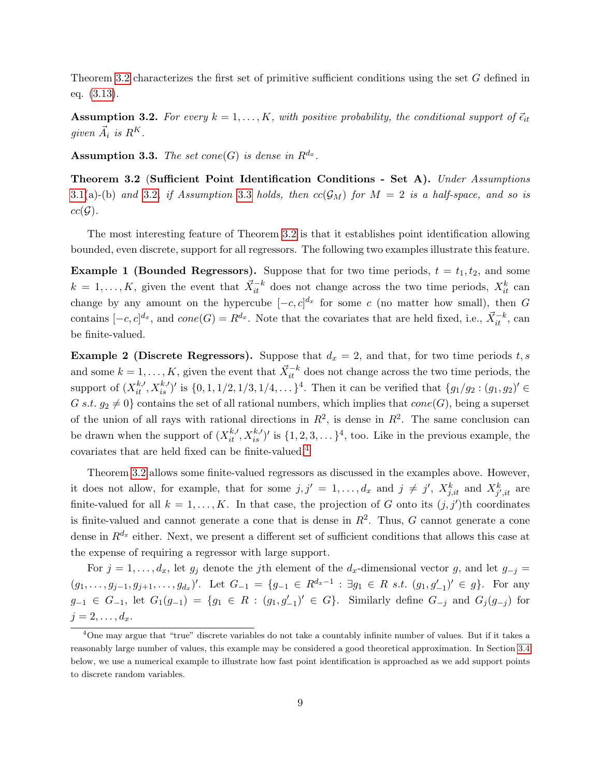Theorem [3.2](#page-8-0) characterizes the first set of primitive sufficient conditions using the set G defined in eq. [\(3.13\)](#page-7-0).

<span id="page-8-1"></span>**Assumption 3.2.** For every  $k = 1, ..., K$ , with positive probability, the conditional support of  $\vec{\epsilon}_{it}$ given  $\vec{A}_i$  is  $R^K$ .

<span id="page-8-2"></span>Assumption 3.3. The set cone(G) is dense in  $R^{d_x}$ .

<span id="page-8-0"></span>Theorem 3.2 (Sufficient Point Identification Conditions - Set A). Under Assumptions [3.1\(](#page-4-0)a)-(b) and [3.2](#page-8-1), if Assumption [3.3](#page-8-2) holds, then  $cc(\mathcal{G}_M)$  for  $M = 2$  is a half-space, and so is  $cc(\mathcal{G})$ .

The most interesting feature of Theorem [3.2](#page-8-0) is that it establishes point identification allowing bounded, even discrete, support for all regressors. The following two examples illustrate this feature.

**Example 1 (Bounded Regressors).** Suppose that for two time periods,  $t = t_1, t_2$ , and some  $k = 1, \ldots, K$ , given the event that  $\vec{X}_{it}^{-k}$  does not change across the two time periods,  $X_{it}^k$  can change by any amount on the hypercube  $[-c, c]^{d_x}$  for some c (no matter how small), then G contains  $[-c, c]^{d_x}$ , and  $cone(G) = R^{d_x}$ . Note that the covariates that are held fixed, i.e.,  $\vec{X}_{it}^{-k}$ , can be finite-valued.

**Example 2 (Discrete Regressors).** Suppose that  $d_x = 2$ , and that, for two time periods t, s and some  $k = 1, \ldots, K$ , given the event that  $\vec{X}_{it}^{-k}$  does not change across the two time periods, the support of  $(X_{it}^{k, \prime}, X_{is}^{k, \prime})'$  is  $\{0, 1, 1/2, 1/3, 1/4, \ldots\}^4$ . Then it can be verified that  $\{g_1/g_2 : (g_1, g_2)' \in$ G s.t.  $q_2 \neq 0$  contains the set of all rational numbers, which implies that  $cone(G)$ , being a superset of the union of all rays with rational directions in  $R^2$ , is dense in  $R^2$ . The same conclusion can be drawn when the support of  $(X_{it}^{k,l}, X_{is}^{k,l})'$  is  $\{1, 2, 3, \ldots\}^4$ , too. Like in the previous example, the covariates that are held fixed can be finite-valued.[4](#page-8-3)

Theorem [3.2](#page-8-0) allows some finite-valued regressors as discussed in the examples above. However, it does not allow, for example, that for some  $j, j' = 1, \ldots, d_x$  and  $j \neq j'$ ,  $X_{j, it}^k$  and  $X_{j', it}^k$  are finite-valued for all  $k = 1, ..., K$ . In that case, the projection of G onto its  $(j, j')$ th coordinates is finite-valued and cannot generate a cone that is dense in  $R^2$ . Thus, G cannot generate a cone dense in  $R^{d_x}$  either. Next, we present a different set of sufficient conditions that allows this case at the expense of requiring a regressor with large support.

For  $j = 1, \ldots, d_x$ , let  $g_j$  denote the j<sup>th</sup> element of the  $d_x$ -dimensional vector g, and let  $g_{-j}$  =  $(g_1, \ldots, g_{j-1}, g_{j+1}, \ldots, g_{d_x})'$ . Let  $G_{-1} = \{g_{-1} \in R^{d_x-1} : \exists g_1 \in R \text{ s.t. } (g_1, g'_{-1})' \in g\}$ . For any  $g_{-1} \in G_{-1}$ , let  $G_1(g_{-1}) = \{g_1 \in R : (g_1, g'_{-1})' \in G\}$ . Similarly define  $G_{-j}$  and  $G_j(g_{-j})$  for  $j=2,\ldots,d_x.$ 

<span id="page-8-3"></span><sup>4</sup>One may argue that "true" discrete variables do not take a countably infinite number of values. But if it takes a reasonably large number of values, this example may be considered a good theoretical approximation. In Section [3.4](#page-9-0) below, we use a numerical example to illustrate how fast point identification is approached as we add support points to discrete random variables.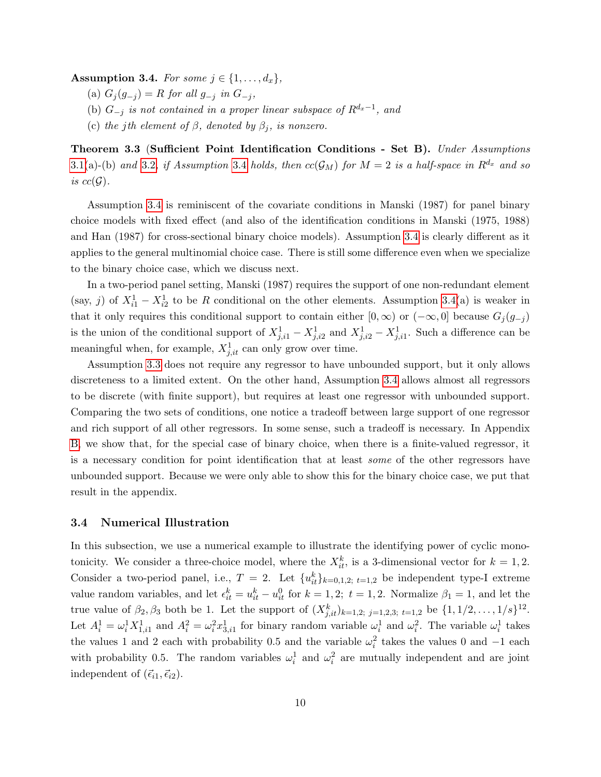<span id="page-9-1"></span>Assumption 3.4. For some  $j \in \{1, \ldots, d_x\},\$ 

- (a)  $G_j(g_{-j}) = R$  for all  $g_{-j}$  in  $G_{-j}$ ,
- (b)  $G_{-j}$  is not contained in a proper linear subspace of  $R^{d_x-1}$ , and
- (c) the jth element of  $\beta$ , denoted by  $\beta_j$ , is nonzero.

<span id="page-9-2"></span>**Theorem 3.3 (Sufficient Point Identification Conditions - Set B).** Under Assumptions [3.1\(](#page-4-0)a)-(b) and [3.2](#page-8-1), if Assumption [3.4](#page-9-1) holds, then  $cc(\mathcal{G}_M)$  for  $M = 2$  is a half-space in  $\mathbb{R}^{d_x}$  and so is  $cc(\mathcal{G})$ .

Assumption [3.4](#page-9-1) is reminiscent of the covariate conditions in Manski (1987) for panel binary choice models with fixed effect (and also of the identification conditions in Manski (1975, 1988) and Han (1987) for cross-sectional binary choice models). Assumption [3.4](#page-9-1) is clearly different as it applies to the general multinomial choice case. There is still some difference even when we specialize to the binary choice case, which we discuss next.

In a two-period panel setting, Manski (1987) requires the support of one non-redundant element (say, j) of  $X_{i1}^1 - X_{i2}^1$  to be R conditional on the other elements. Assumption [3.4\(](#page-9-1)a) is weaker in that it only requires this conditional support to contain either [0, ∞) or  $(-\infty, 0]$  because  $G_j(g_{-j})$ is the union of the conditional support of  $X_{j,i1}^1 - X_{j,i2}^1$  and  $X_{j,i2}^1 - X_{j,i1}^1$ . Such a difference can be meaningful when, for example,  $X_{j,it}^1$  can only grow over time.

Assumption [3.3](#page-8-2) does not require any regressor to have unbounded support, but it only allows discreteness to a limited extent. On the other hand, Assumption [3.4](#page-9-1) allows almost all regressors to be discrete (with finite support), but requires at least one regressor with unbounded support. Comparing the two sets of conditions, one notice a tradeoff between large support of one regressor and rich support of all other regressors. In some sense, such a tradeoff is necessary. In Appendix [B,](#page-24-0) we show that, for the special case of binary choice, when there is a finite-valued regressor, it is a necessary condition for point identification that at least some of the other regressors have unbounded support. Because we were only able to show this for the binary choice case, we put that result in the appendix.

#### <span id="page-9-0"></span>3.4 Numerical Illustration

In this subsection, we use a numerical example to illustrate the identifying power of cyclic monotonicity. We consider a three-choice model, where the  $X_{it}^k$ , is a 3-dimensional vector for  $k = 1, 2$ . Consider a two-period panel, i.e.,  $T = 2$ . Let  $\{u_{it}^k\}_{k=0,1,2; t=1,2}$  be independent type-I extreme value random variables, and let  $\epsilon_{it}^k = u_{it}^k - u_{it}^0$  for  $k = 1, 2$ ;  $t = 1, 2$ . Normalize  $\beta_1 = 1$ , and let the true value of  $\beta_2, \beta_3$  both be 1. Let the support of  $(X_{j,it}^k)_{k=1,2; j=1,2,3; t=1,2}$  be  $\{1, 1/2, \ldots, 1/s\}^{12}$ . Let  $A_i^1 = \omega_i^1 X_{1,i1}^1$  and  $A_i^2 = \omega_i^2 x_{3,i1}^1$  for binary random variable  $\omega_i^1$  and  $\omega_i^2$ . The variable  $\omega_i^1$  takes the values 1 and 2 each with probability 0.5 and the variable  $\omega_i^2$  takes the values 0 and -1 each with probability 0.5. The random variables  $\omega_i^1$  and  $\omega_i^2$  are mutually independent and are joint independent of  $(\vec{\epsilon}_{i1}, \vec{\epsilon}_{i2})$ .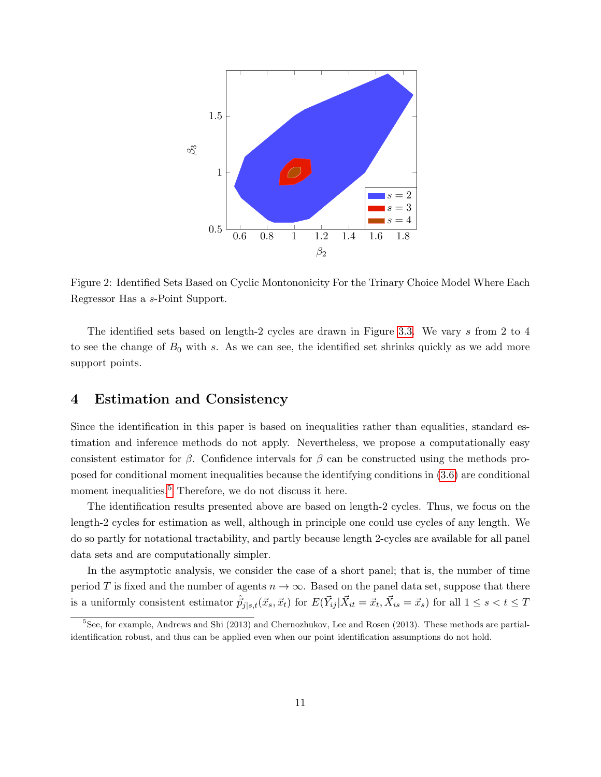

Figure 2: Identified Sets Based on Cyclic Montononicity For the Trinary Choice Model Where Each Regressor Has a s-Point Support.

The identified sets based on length-2 cycles are drawn in Figure [3.3.](#page-9-2) We vary s from 2 to 4 to see the change of  $B_0$  with s. As we can see, the identified set shrinks quickly as we add more support points.

### 4 Estimation and Consistency

Since the identification in this paper is based on inequalities rather than equalities, standard estimation and inference methods do not apply. Nevertheless, we propose a computationally easy consistent estimator for  $\beta$ . Confidence intervals for  $\beta$  can be constructed using the methods proposed for conditional moment inequalities because the identifying conditions in [\(3.6\)](#page-5-1) are conditional moment inequalities.<sup>[5](#page-10-0)</sup> Therefore, we do not discuss it here.

The identification results presented above are based on length-2 cycles. Thus, we focus on the length-2 cycles for estimation as well, although in principle one could use cycles of any length. We do so partly for notational tractability, and partly because length 2-cycles are available for all panel data sets and are computationally simpler.

In the asymptotic analysis, we consider the case of a short panel; that is, the number of time period T is fixed and the number of agents  $n \to \infty$ . Based on the panel data set, suppose that there is a uniformly consistent estimator  $\hat{p}_{j|s,t}(\vec{x}_s, \vec{x}_t)$  for  $E(\vec{Y}_{ij} | \vec{X}_{it} = \vec{x}_t, \vec{X}_{is} = \vec{x}_s)$  for all  $1 \le s < t \le T$ 

<span id="page-10-0"></span><sup>5</sup>See, for example, Andrews and Shi (2013) and Chernozhukov, Lee and Rosen (2013). These methods are partialidentification robust, and thus can be applied even when our point identification assumptions do not hold.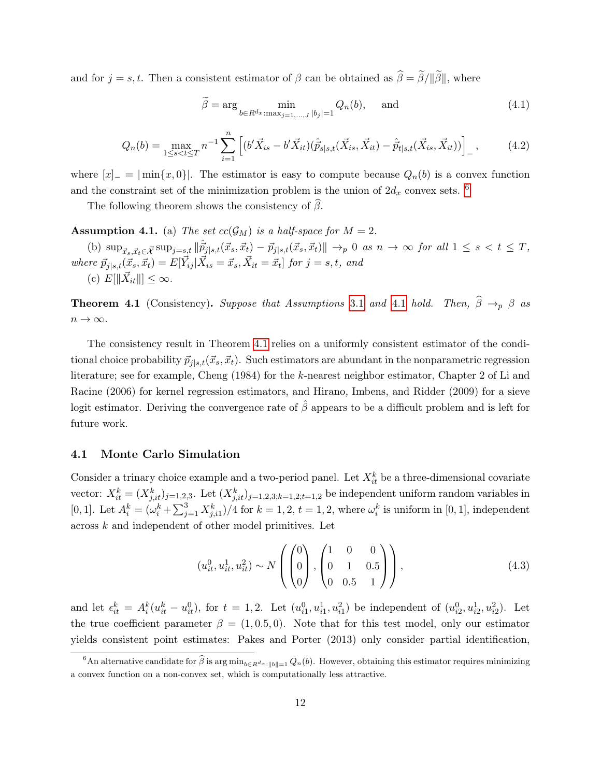and for  $j = s, t$ . Then a consistent estimator of  $\beta$  can be obtained as  $\hat{\beta} = \tilde{\beta}/\|\tilde{\beta}\|$ , where

$$
\widetilde{\beta} = \arg \min_{b \in R^{d_x} : \max_{j=1,\dots,J} |b_j| = 1} Q_n(b), \quad \text{and} \tag{4.1}
$$

$$
Q_n(b) = \max_{1 \le s < t \le T} n^{-1} \sum_{i=1}^n \left[ (b' \vec{X}_{is} - b' \vec{X}_{it}) (\hat{p}_{s|s,t}(\vec{X}_{is}, \vec{X}_{it}) - \hat{p}_{t|s,t}(\vec{X}_{is}, \vec{X}_{it})) \right]_-, \tag{4.2}
$$

where  $[x]_-=|\min\{x,0\}|$ . The estimator is easy to compute because  $Q_n(b)$  is a convex function and the constraint set of the minimization problem is the union of  $2d_x$  convex sets. <sup>[6](#page-11-0)</sup>

The following theorem shows the consistency of  $\hat{\beta}$ .

<span id="page-11-1"></span>**Assumption 4.1.** (a) The set  $cc(\mathcal{G}_M)$  is a half-space for  $M = 2$ .

(b)  $\sup_{\vec{x}_s,\vec{x}_t \in \vec{\mathcal{X}}} \sup_{j=s,t} ||\hat{p}_{j|s,t}(\vec{x}_s, \vec{x}_t) - \vec{p}_{j|s,t}(\vec{x}_s, \vec{x}_t)|| \rightarrow_p 0 \text{ as } n \rightarrow \infty \text{ for all } 1 \leq s < t \leq T$ where  $\vec{p}_{j|s,t}(\vec{x}_s, \vec{x}_t) = E[\vec{Y}_{ij} | \vec{X}_{is} = \vec{x}_s, \vec{X}_{it} = \vec{x}_t]$  for  $j = s, t$ , and (c)  $E[\|\vec{X}_{it}\|] \leq \infty$ .

<span id="page-11-2"></span>**Theorem [4.1](#page-11-1)** (Consistency). Suppose that Assumptions [3.1](#page-4-0) and 4.1 hold. Then,  $\hat{\beta} \rightarrow_{p} \beta$  as  $n \to \infty$ .

The consistency result in Theorem [4.1](#page-11-2) relies on a uniformly consistent estimator of the conditional choice probability  $\vec{p}_{j|s,t}(\vec{x}_s, \vec{x}_t)$ . Such estimators are abundant in the nonparametric regression literature; see for example, Cheng (1984) for the k-nearest neighbor estimator, Chapter 2 of Li and Racine (2006) for kernel regression estimators, and Hirano, Imbens, and Ridder (2009) for a sieve logit estimator. Deriving the convergence rate of  $\hat{\beta}$  appears to be a difficult problem and is left for future work.

#### 4.1 Monte Carlo Simulation

Consider a trinary choice example and a two-period panel. Let  $X_{it}^k$  be a three-dimensional covariate vector:  $X_{it}^k = (X_{j,it}^k)_{j=1,2,3}$ . Let  $(X_{j,it}^k)_{j=1,2,3;k=1,2;t=1,2}$  be independent uniform random variables in [0, 1]. Let  $A_i^k = (\omega_i^k + \sum_{j=1}^3 X_{j,i1}^k)/4$  for  $k = 1, 2, t = 1, 2$ , where  $\omega_i^k$  is uniform in [0, 1], independent across k and independent of other model primitives. Let

$$
(u_{it}^0, u_{it}^1, u_{it}^2) \sim N\left(\begin{pmatrix}0\\0\\0\end{pmatrix}, \begin{pmatrix}1 & 0 & 0\\0 & 1 & 0.5\\0 & 0.5 & 1\end{pmatrix}\right),
$$
(4.3)

and let  $\epsilon_{it}^k = A_i^k (u_{it}^k - u_{it}^0)$ , for  $t = 1, 2$ . Let  $(u_{i1}^0, u_{i1}^1, u_{i1}^2)$  be independent of  $(u_{i2}^0, u_{i2}^1, u_{i2}^2)$ . Let the true coefficient parameter  $\beta = (1, 0.5, 0)$ . Note that for this test model, only our estimator yields consistent point estimates: Pakes and Porter (2013) only consider partial identification,

<span id="page-11-0"></span><sup>&</sup>lt;sup>6</sup>An alternative candidate for  $\hat{\beta}$  is arg min<sub>b∈R<sup>dx</sup> : ||b||=1</sub>  $Q_n(b)$ . However, obtaining this estimator requires minimizing a convex function on a non-convex set, which is computationally less attractive.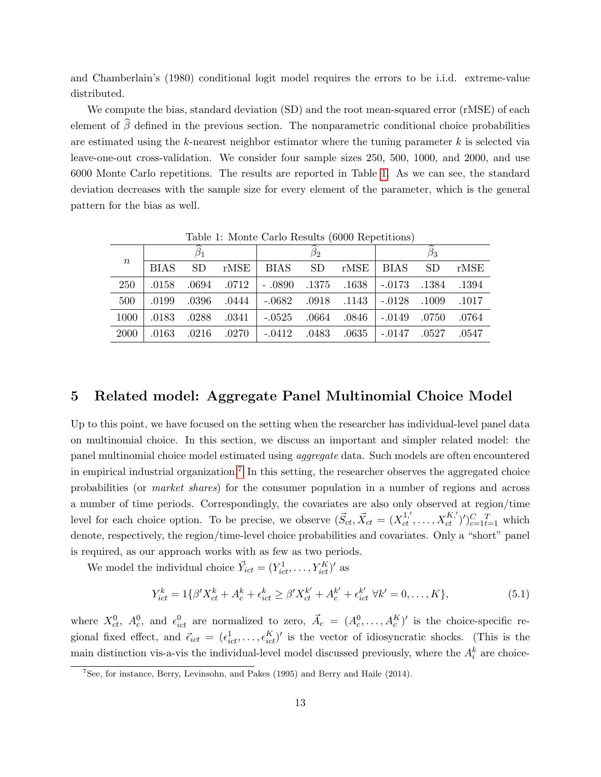and Chamberlain's (1980) conditional logit model requires the errors to be i.i.d. extreme-value distributed.

We compute the bias, standard deviation (SD) and the root mean-squared error (rMSE) of each element of  $\widehat{\beta}$  defined in the previous section. The nonparametric conditional choice probabilities are estimated using the  $k$ -nearest neighbor estimator where the tuning parameter  $k$  is selected via leave-one-out cross-validation. We consider four sample sizes 250, 500, 1000, and 2000, and use 6000 Monte Carlo repetitions. The results are reported in Table [1.](#page-12-0) As we can see, the standard deviation decreases with the sample size for every element of the parameter, which is the general pattern for the bias as well.

| $\, n$ | <b>BIAS</b> | <b>SD</b> |  | $rMSE$ BIAS SD                                                            |  |  | $rMSE$ BIAS SD |  | rMSE |
|--------|-------------|-----------|--|---------------------------------------------------------------------------|--|--|----------------|--|------|
| 250    | .0158       |           |  | $0.0694$ $0.0712$ $-0.0890$ $0.1375$ $0.1638$ $-0.0173$ $0.1384$ $0.1394$ |  |  |                |  |      |
| 500    | .0199       |           |  | 1017. 1009. 10128. 1143. 1082. 1082. 1082. 1084. 1086.                    |  |  |                |  |      |
| 1000   | .0183       |           |  | $0.0288$ $0.0341$ $-0.0525$ $0.0664$ $0.0846$ $-0.0149$ $0.0750$ $0.0764$ |  |  |                |  |      |
| 2000   |             |           |  | .0527 .0527 .0527 .0412 .0483 .0635 .0147 .0527 .0547                     |  |  |                |  |      |

<span id="page-12-0"></span>Table 1: Monte Carlo Results (6000 Repetitions)

### 5 Related model: Aggregate Panel Multinomial Choice Model

Up to this point, we have focused on the setting when the researcher has individual-level panel data on multinomial choice. In this section, we discuss an important and simpler related model: the panel multinomial choice model estimated using aggregate data. Such models are often encountered in empirical industrial organization.<sup>[7](#page-12-1)</sup> In this setting, the researcher observes the aggregated choice probabilities (or market shares) for the consumer population in a number of regions and across a number of time periods. Correspondingly, the covariates are also only observed at region/time level for each choice option. To be precise, we observe  $(\vec{S}_{ct}, \vec{X}_{ct} = (X_{ct}^{1,'}, \ldots, X_{ct}^{K,'})')_{c=1}^{C}$  which denote, respectively, the region/time-level choice probabilities and covariates. Only a "short" panel is required, as our approach works with as few as two periods.

We model the individual choice  $\vec{Y}_{ict} = (Y_{ict}^1, \dots, Y_{ict}^K)'$  as

$$
Y_{ict}^{k} = 1\{\beta'X_{ct}^{k} + A_{c}^{k} + \epsilon_{ict}^{k} \ge \beta'X_{ct}^{k'} + A_{c}^{k'} + \epsilon_{ict}^{k'} \ \forall k' = 0, ..., K\},\tag{5.1}
$$

where  $X_{ct}^0$ ,  $A_c^0$ , and  $\epsilon_{ict}^0$  are normalized to zero,  $\vec{A}_c = (A_c^0, \ldots, A_c^K)'$  is the choice-specific regional fixed effect, and  $\vec{\epsilon}_{ict} = (\epsilon_{ict}^1, \ldots, \epsilon_{ict}^K)'$  is the vector of idiosyncratic shocks. (This is the main distinction vis-a-vis the individual-level model discussed previously, where the  $A_i^k$  are choice-

<span id="page-12-1"></span> $7$ See, for instance, Berry, Levinsohn, and Pakes (1995) and Berry and Haile (2014).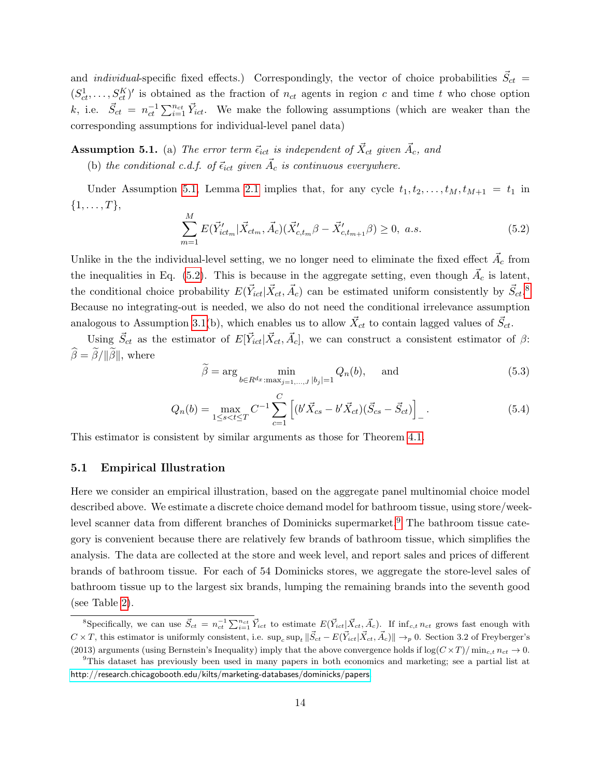and *individual*-specific fixed effects.) Correspondingly, the vector of choice probabilities  $\vec{S}_{ct}$  =  $(S_{ct}^1, \ldots, S_{ct}^K)'$  is obtained as the fraction of  $n_{ct}$  agents in region c and time t who chose option k, i.e.  $\vec{S}_{ct} = n_{ct}^{-1} \sum_{i=1}^{n_{ct}} \vec{Y}_{ict}$ . We make the following assumptions (which are weaker than the corresponding assumptions for individual-level panel data)

<span id="page-13-0"></span>**Assumption 5.1.** (a) The error term  $\vec{\epsilon}_{ict}$  is independent of  $\vec{X}_{ct}$  given  $\vec{A}_c$ , and

(b) the conditional c.d.f. of  $\vec{\epsilon}_{ict}$  given  $\vec{A}_c$  is continuous everywhere.

Under Assumption [5.1,](#page-13-0) Lemma [2.1](#page-3-2) implies that, for any cycle  $t_1, t_2, \ldots, t_M, t_{M+1} = t_1$  in  $\{1, \ldots, T\},\$ 

<span id="page-13-1"></span>
$$
\sum_{m=1}^{M} E(\vec{Y}_{ict_m}^{\prime} | \vec{X}_{ct_m}, \vec{A}_c) (\vec{X}_{c, t_m}^{\prime} \beta - \vec{X}_{c, t_{m+1}}^{\prime} \beta) \ge 0, \ a.s.
$$
\n(5.2)

Unlike in the the individual-level setting, we no longer need to eliminate the fixed effect  $\vec{A_c}$  from the inequalities in Eq. [\(5.2\)](#page-13-1). This is because in the aggregate setting, even though  $\vec{A_c}$  is latent, the conditional choice probability  $E(\vec{Y}_{ict}|\vec{X}_{ct}, \vec{A}_c)$  can be estimated uniform consistently by  $\vec{S}_{ct}$ .<sup>[8](#page-13-2)</sup> Because no integrating-out is needed, we also do not need the conditional irrelevance assumption analogous to Assumption [3.1\(](#page-4-0)b), which enables us to allow  $\vec{X}_{ct}$  to contain lagged values of  $\vec{S}_{ct}$ .

Using  $\vec{S}_{ct}$  as the estimator of  $E[\vec{Y}_{ict}|\vec{X}_{ct}, \vec{A}_c]$ , we can construct a consistent estimator of  $\beta$ :  $\hat{\beta} = \tilde{\beta}/\|\tilde{\beta}\|$ , where

$$
\widetilde{\beta} = \arg \min_{b \in R^{d_x} : \max_{j=1,\dots,J} |b_j| = 1} Q_n(b), \quad \text{and} \tag{5.3}
$$

$$
Q_n(b) = \max_{1 \le s < t \le T} C^{-1} \sum_{c=1}^C \left[ (b' \vec{X}_{cs} - b' \vec{X}_{ct}) (\vec{S}_{cs} - \vec{S}_{ct}) \right]_-\,. \tag{5.4}
$$

This estimator is consistent by similar arguments as those for Theorem [4.1.](#page-11-2)

#### 5.1 Empirical Illustration

Here we consider an empirical illustration, based on the aggregate panel multinomial choice model described above. We estimate a discrete choice demand model for bathroom tissue, using store/week-level scanner data from different branches of Dominicks supermarket.<sup>[9](#page-13-3)</sup> The bathroom tissue category is convenient because there are relatively few brands of bathroom tissue, which simplifies the analysis. The data are collected at the store and week level, and report sales and prices of different brands of bathroom tissue. For each of 54 Dominicks stores, we aggregate the store-level sales of bathroom tissue up to the largest six brands, lumping the remaining brands into the seventh good (see Table [2\)](#page-14-0).

<span id="page-13-2"></span><sup>&</sup>lt;sup>8</sup>Specifically, we can use  $\vec{S}_{ct} = n_{ct}^{-1} \sum_{i=1}^{n_{ct}} \vec{Y}_{ict}$  to estimate  $E(\vec{Y}_{ict} | \vec{X}_{ct}, \vec{A}_c)$ . If  $\inf_{c,t} n_{ct}$  grows fast enough with  $C \times T$ , this estimator is uniformly consistent, i.e.  $\sup_c \sup_t ||\vec{S}_{ct} - E(\vec{Y}_{ict} | \vec{X}_{ct}, \vec{A}_c)|| \rightarrow_p 0$ . Section 3.2 of Freyberger's (2013) arguments (using Bernstein's Inequality) imply that the above convergence holds if  $\log(C \times T)/\min_{c,t} n_{ct} \to 0$ .

<span id="page-13-3"></span><sup>9</sup>This dataset has previously been used in many papers in both economics and marketing; see a partial list at <http://research.chicagobooth.edu/kilts/marketing-databases/dominicks/papers>.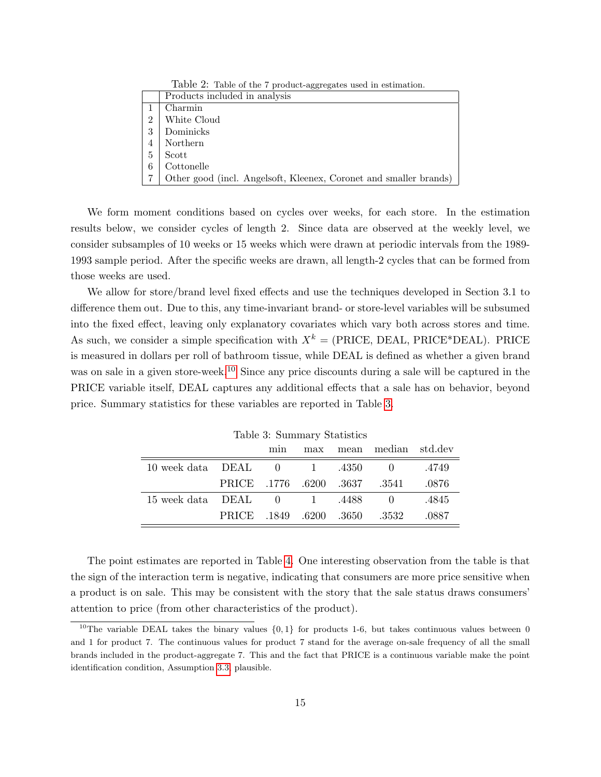<span id="page-14-0"></span>

| Table 2: Table of the 7 product-aggregates used in estimation. |                                                                   |  |  |  |  |  |
|----------------------------------------------------------------|-------------------------------------------------------------------|--|--|--|--|--|
|                                                                | Products included in analysis                                     |  |  |  |  |  |
|                                                                | Charmin                                                           |  |  |  |  |  |
| $\overline{2}$                                                 | White Cloud                                                       |  |  |  |  |  |
| 3                                                              | Dominicks                                                         |  |  |  |  |  |
| 4                                                              | Northern                                                          |  |  |  |  |  |
| 5                                                              | Scott                                                             |  |  |  |  |  |
| 6                                                              | Cottonelle                                                        |  |  |  |  |  |
|                                                                | Other good (incl. Angelsoft, Kleenex, Coronet and smaller brands) |  |  |  |  |  |

We form moment conditions based on cycles over weeks, for each store. In the estimation results below, we consider cycles of length 2. Since data are observed at the weekly level, we consider subsamples of 10 weeks or 15 weeks which were drawn at periodic intervals from the 1989- 1993 sample period. After the specific weeks are drawn, all length-2 cycles that can be formed from those weeks are used.

We allow for store/brand level fixed effects and use the techniques developed in Section 3.1 to difference them out. Due to this, any time-invariant brand- or store-level variables will be subsumed into the fixed effect, leaving only explanatory covariates which vary both across stores and time. As such, we consider a simple specification with  $X^k = (PRICE, DEAL, PRICE^*DEAL)$ . PRICE is measured in dollars per roll of bathroom tissue, while DEAL is defined as whether a given brand was on sale in a given store-week.<sup>[10](#page-14-1)</sup> Since any price discounts during a sale will be captured in the PRICE variable itself, DEAL captures any additional effects that a sale has on behavior, beyond price. Summary statistics for these variables are reported in Table [3.](#page-14-2)

|                                         |                               |  | Lable 9. Dummary DeachServes | min max mean median std.dev       |       |
|-----------------------------------------|-------------------------------|--|------------------------------|-----------------------------------|-------|
| $10$ week data DEAL $0$ $1$ $.4350$ $0$ |                               |  |                              |                                   | .4749 |
|                                         | PRICE .1776 .6200 .3637 .3541 |  |                              |                                   | .0876 |
| $15$ week data DEAL $0$ $1$ $.4488$     |                               |  |                              | $\begin{array}{cc} 0 \end{array}$ | .4845 |
|                                         | PRICE .1849 .6200 .3650 .3532 |  |                              |                                   | .0887 |

<span id="page-14-2"></span>Table 3: Summary Statistics

The point estimates are reported in Table [4.](#page-15-0) One interesting observation from the table is that the sign of the interaction term is negative, indicating that consumers are more price sensitive when a product is on sale. This may be consistent with the story that the sale status draws consumers' attention to price (from other characteristics of the product).

<span id="page-14-1"></span><sup>&</sup>lt;sup>10</sup>The variable DEAL takes the binary values  $\{0,1\}$  for products 1-6, but takes continuous values between 0 and 1 for product 7. The continuous values for product 7 stand for the average on-sale frequency of all the small brands included in the product-aggregate 7. This and the fact that PRICE is a continuous variable make the point identification condition, Assumption [3.3,](#page-8-2) plausible.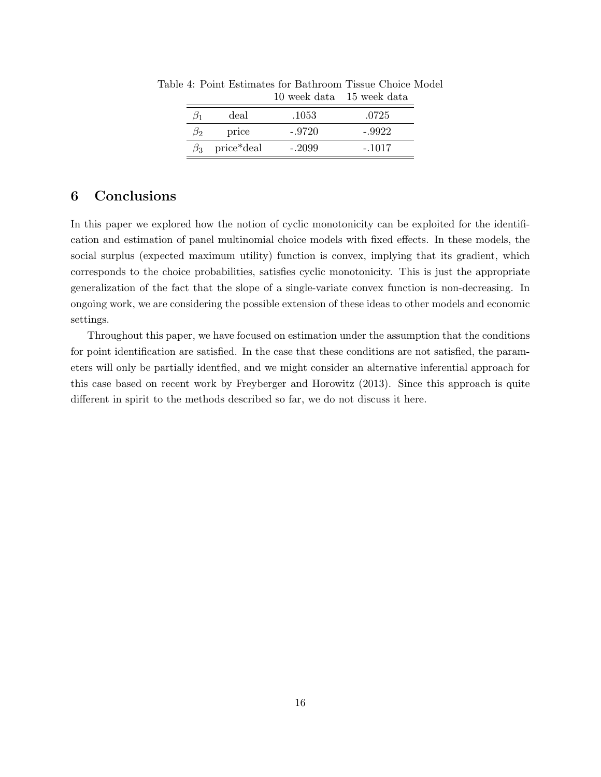<span id="page-15-0"></span>

|    | deal       | .1053    | .0725    |
|----|------------|----------|----------|
| 32 | price      | $-.9720$ | -.9922   |
|    | price*deal | $-.2099$ | $-.1017$ |
|    |            |          |          |

Table 4: Point Estimates for Bathroom Tissue Choice Model 10 week data 15 week data

### 6 Conclusions

In this paper we explored how the notion of cyclic monotonicity can be exploited for the identification and estimation of panel multinomial choice models with fixed effects. In these models, the social surplus (expected maximum utility) function is convex, implying that its gradient, which corresponds to the choice probabilities, satisfies cyclic monotonicity. This is just the appropriate generalization of the fact that the slope of a single-variate convex function is non-decreasing. In ongoing work, we are considering the possible extension of these ideas to other models and economic settings.

Throughout this paper, we have focused on estimation under the assumption that the conditions for point identification are satisfied. In the case that these conditions are not satisfied, the parameters will only be partially identfied, and we might consider an alternative inferential approach for this case based on recent work by Freyberger and Horowitz (2013). Since this approach is quite different in spirit to the methods described so far, we do not discuss it here.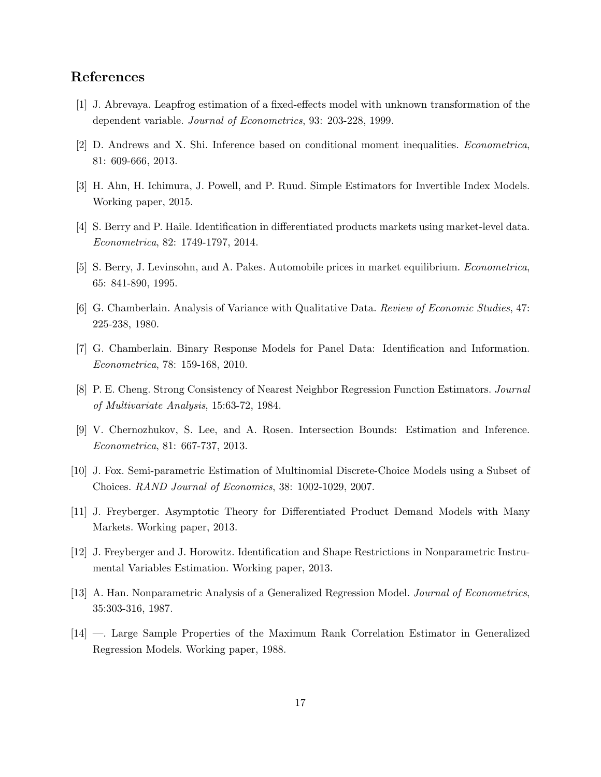### References

- [1] J. Abrevaya. Leapfrog estimation of a fixed-effects model with unknown transformation of the dependent variable. Journal of Econometrics, 93: 203-228, 1999.
- [2] D. Andrews and X. Shi. Inference based on conditional moment inequalities. Econometrica, 81: 609-666, 2013.
- [3] H. Ahn, H. Ichimura, J. Powell, and P. Ruud. Simple Estimators for Invertible Index Models. Working paper, 2015.
- [4] S. Berry and P. Haile. Identification in differentiated products markets using market-level data. Econometrica, 82: 1749-1797, 2014.
- [5] S. Berry, J. Levinsohn, and A. Pakes. Automobile prices in market equilibrium. Econometrica, 65: 841-890, 1995.
- [6] G. Chamberlain. Analysis of Variance with Qualitative Data. Review of Economic Studies, 47: 225-238, 1980.
- [7] G. Chamberlain. Binary Response Models for Panel Data: Identification and Information. Econometrica, 78: 159-168, 2010.
- [8] P. E. Cheng. Strong Consistency of Nearest Neighbor Regression Function Estimators. Journal of Multivariate Analysis, 15:63-72, 1984.
- [9] V. Chernozhukov, S. Lee, and A. Rosen. Intersection Bounds: Estimation and Inference. Econometrica, 81: 667-737, 2013.
- [10] J. Fox. Semi-parametric Estimation of Multinomial Discrete-Choice Models using a Subset of Choices. RAND Journal of Economics, 38: 1002-1029, 2007.
- [11] J. Freyberger. Asymptotic Theory for Differentiated Product Demand Models with Many Markets. Working paper, 2013.
- [12] J. Freyberger and J. Horowitz. Identification and Shape Restrictions in Nonparametric Instrumental Variables Estimation. Working paper, 2013.
- [13] A. Han. Nonparametric Analysis of a Generalized Regression Model. Journal of Econometrics, 35:303-316, 1987.
- [14] —. Large Sample Properties of the Maximum Rank Correlation Estimator in Generalized Regression Models. Working paper, 1988.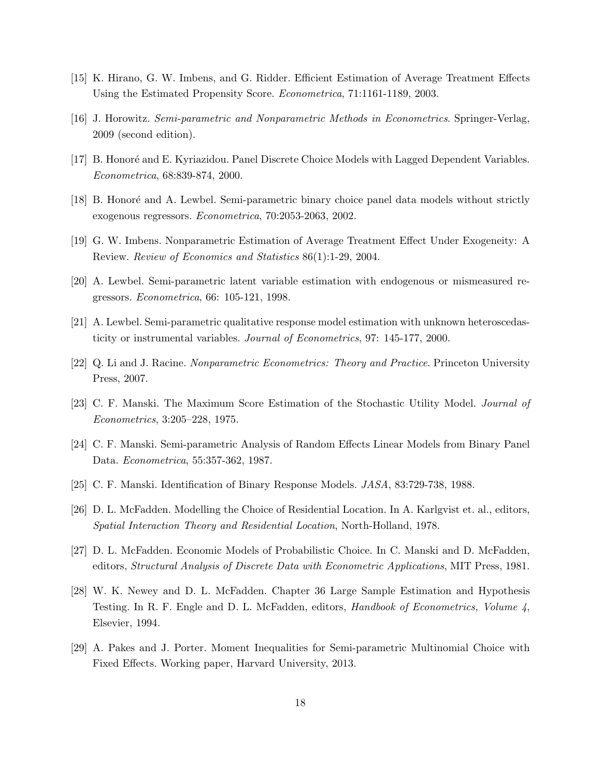- [15] K. Hirano, G. W. Imbens, and G. Ridder. Efficient Estimation of Average Treatment Effects Using the Estimated Propensity Score. Econometrica, 71:1161-1189, 2003.
- [16] J. Horowitz. Semi-parametric and Nonparametric Methods in Econometrics. Springer-Verlag, 2009 (second edition).
- [17] B. Honoré and E. Kyriazidou. Panel Discrete Choice Models with Lagged Dependent Variables. Econometrica, 68:839-874, 2000.
- [18] B. Honoré and A. Lewbel. Semi-parametric binary choice panel data models without strictly exogenous regressors. Econometrica, 70:2053-2063, 2002.
- [19] G. W. Imbens. Nonparametric Estimation of Average Treatment Effect Under Exogeneity: A Review. Review of Economics and Statistics 86(1):1-29, 2004.
- [20] A. Lewbel. Semi-parametric latent variable estimation with endogenous or mismeasured regressors. Econometrica, 66: 105-121, 1998.
- [21] A. Lewbel. Semi-parametric qualitative response model estimation with unknown heteroscedasticity or instrumental variables. Journal of Econometrics, 97: 145-177, 2000.
- [22] Q. Li and J. Racine. Nonparametric Econometrics: Theory and Practice. Princeton University Press, 2007.
- [23] C. F. Manski. The Maximum Score Estimation of the Stochastic Utility Model. Journal of Econometrics, 3:205–228, 1975.
- [24] C. F. Manski. Semi-parametric Analysis of Random Effects Linear Models from Binary Panel Data. Econometrica, 55:357-362, 1987.
- [25] C. F. Manski. Identification of Binary Response Models. JASA, 83:729-738, 1988.
- [26] D. L. McFadden. Modelling the Choice of Residential Location. In A. Karlgvist et. al., editors, Spatial Interaction Theory and Residential Location, North-Holland, 1978.
- [27] D. L. McFadden. Economic Models of Probabilistic Choice. In C. Manski and D. McFadden, editors, Structural Analysis of Discrete Data with Econometric Applications, MIT Press, 1981.
- [28] W. K. Newey and D. L. McFadden. Chapter 36 Large Sample Estimation and Hypothesis Testing. In R. F. Engle and D. L. McFadden, editors, Handbook of Econometrics, Volume 4, Elsevier, 1994.
- [29] A. Pakes and J. Porter. Moment Inequalities for Semi-parametric Multinomial Choice with Fixed Effects. Working paper, Harvard University, 2013.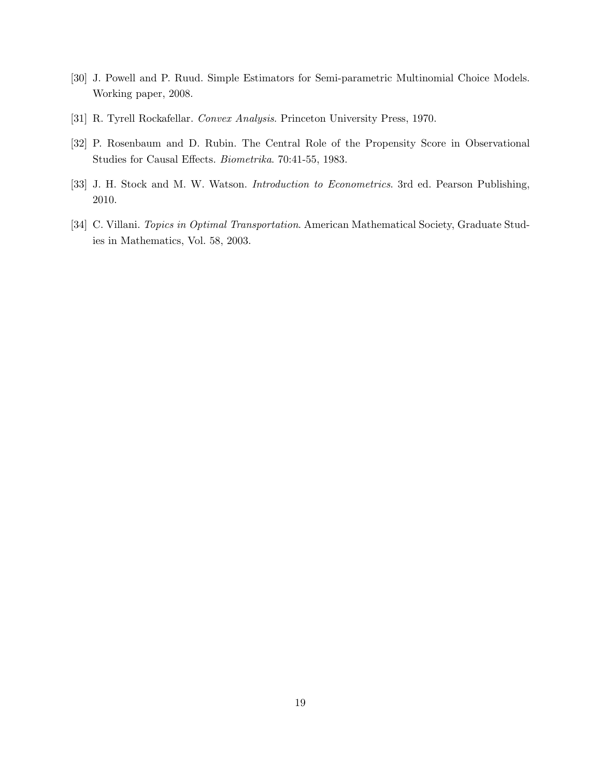- [30] J. Powell and P. Ruud. Simple Estimators for Semi-parametric Multinomial Choice Models. Working paper, 2008.
- [31] R. Tyrell Rockafellar. Convex Analysis. Princeton University Press, 1970.
- [32] P. Rosenbaum and D. Rubin. The Central Role of the Propensity Score in Observational Studies for Causal Effects. Biometrika. 70:41-55, 1983.
- [33] J. H. Stock and M. W. Watson. *Introduction to Econometrics*. 3rd ed. Pearson Publishing, 2010.
- [34] C. Villani. Topics in Optimal Transportation. American Mathematical Society, Graduate Studies in Mathematics, Vol. 58, 2003.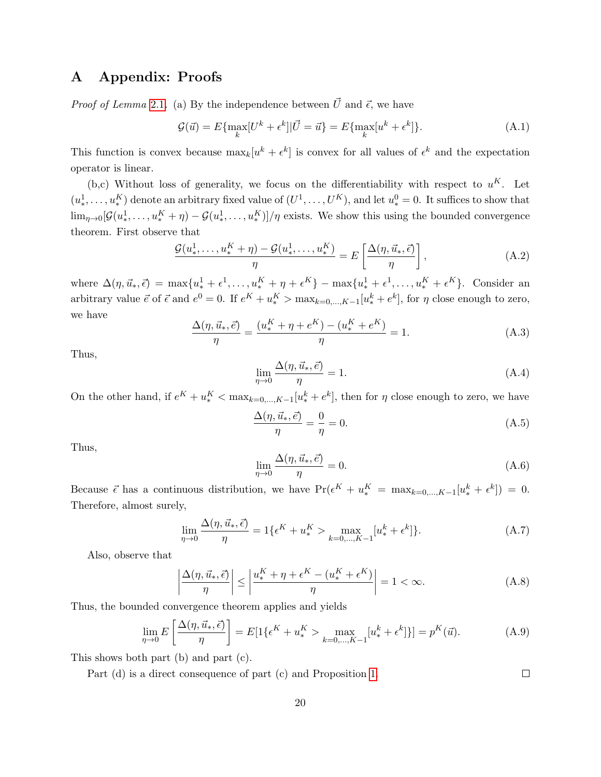### <span id="page-19-0"></span>A Appendix: Proofs

*Proof of Lemma* [2.1](#page-3-2). (a) By the independence between  $\vec{U}$  and  $\vec{\epsilon}$ , we have

$$
\mathcal{G}(\vec{u}) = E\{\max_k [U^k + \epsilon^k] | \vec{U} = \vec{u}\} = E\{\max_k [u^k + \epsilon^k]\}.
$$
\n(A.1)

This function is convex because  $\max_k[u^k + \epsilon^k]$  is convex for all values of  $\epsilon^k$  and the expectation operator is linear.

(b,c) Without loss of generality, we focus on the differentiability with respect to  $u^K$ . Let  $(u^1_*)$  $(u^1_*,\ldots,u^K_*)$  denote an arbitrary fixed value of  $(U^1,\ldots,U^K)$ , and let  $u^0_* = 0$ . It suffices to show that  $\lim_{\eta\to 0}[\mathcal{G}(u^1_*)]$  $u^1_*, \ldots, u^K_* + \eta$ ) –  $\mathcal{G}(u^1_*)$  $\left( \mathbf{R}^1, \ldots, \mathbf{u}_{\ast}^K \right) / \eta$  exists. We show this using the bounded convergence theorem. First observe that

$$
\frac{\mathcal{G}(u^1_*,\ldots,u^K_*+\eta)-\mathcal{G}(u^1_*,\ldots,u^K_*)}{\eta}=E\left[\frac{\Delta(\eta,\vec{u}_*,\vec{\epsilon})}{\eta}\right],\tag{A.2}
$$

where  $\Delta(\eta, \vec{u}_*, \vec{\epsilon}) = \max\{u_*^1 + \epsilon^1, \ldots, u_*^K + \eta + \epsilon^K\} - \max\{u_*^1 + \epsilon^1, \ldots, u_*^K + \epsilon^K\}.$  Consider an arbitrary value  $\vec{e}$  of  $\vec{\epsilon}$  and  $e^0 = 0$ . If  $e^K + u^K_* > \max_{k=0,\dots,K-1} [u^k_* + e^k]$ , for  $\eta$  close enough to zero, we have

$$
\frac{\Delta(\eta, \vec{u}_*, \vec{e})}{\eta} = \frac{(u_*^K + \eta + e^K) - (u_*^K + e^K)}{\eta} = 1.
$$
 (A.3)

Thus,

$$
\lim_{\eta \to 0} \frac{\Delta(\eta, \vec{u}_*, \vec{e})}{\eta} = 1.
$$
\n(A.4)

On the other hand, if  $e^K + u_*^K < \max_{k=0,\dots,K-1} [u_*^k + e^k]$ , then for  $\eta$  close enough to zero, we have

$$
\frac{\Delta(\eta, \vec{u}_*, \vec{e})}{\eta} = \frac{0}{\eta} = 0.
$$
\n(A.5)

Thus,

$$
\lim_{\eta \to 0} \frac{\Delta(\eta, \vec{u}_*, \vec{e})}{\eta} = 0.
$$
\n(A.6)

Because  $\vec{\epsilon}$  has a continuous distribution, we have  $Pr(\epsilon^K + u^K_*) = \max_{k=0,\dots,K-1} [u^k_* + \epsilon^k] = 0.$ Therefore, almost surely,

$$
\lim_{\eta \to 0} \frac{\Delta(\eta, \vec{u}_*, \vec{\epsilon})}{\eta} = 1 \{ \epsilon^K + u_*^K > \max_{k=0,\dots,K-1} [u_*^k + \epsilon^k] \}. \tag{A.7}
$$

Also, observe that

$$
\left|\frac{\Delta(\eta, \vec{u}_*, \vec{\epsilon})}{\eta}\right| \le \left|\frac{u_*^K + \eta + \epsilon^K - (u_*^K + \epsilon^K)}{\eta}\right| = 1 < \infty. \tag{A.8}
$$

Thus, the bounded convergence theorem applies and yields

$$
\lim_{\eta \to 0} E\left[\frac{\Delta(\eta, \vec{u}_*, \vec{\epsilon})}{\eta}\right] = E[1\{\epsilon^K + u_*^K > \max_{k=0,\dots,K-1} [u_*^k + \epsilon^k]\}] = p^K(\vec{u}).
$$
\n(A.9)

This shows both part (b) and part (c).

Part (d) is a direct consequence of part (c) and Proposition [1.](#page-3-1)  $\Box$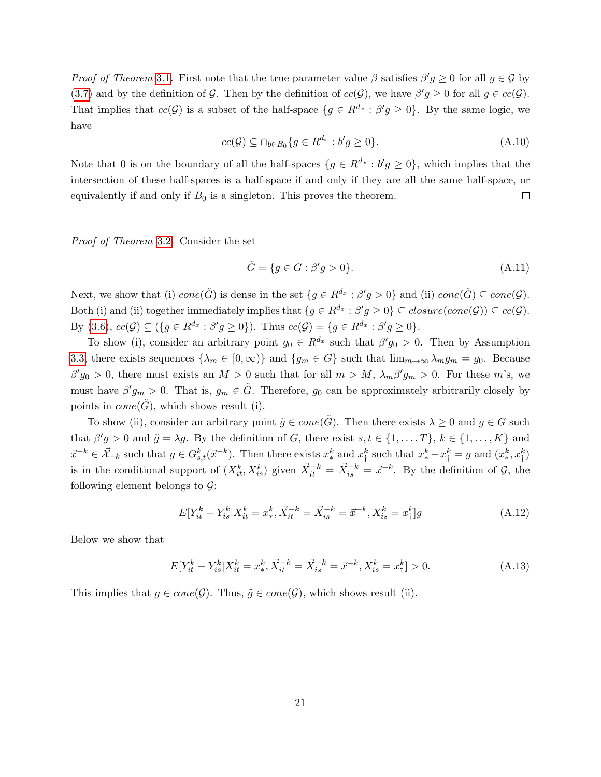*Proof of Theorem* [3.1](#page-6-0). First note that the true parameter value  $\beta$  satisfies  $\beta' g \ge 0$  for all  $g \in \mathcal{G}$  by [\(3.7\)](#page-5-3) and by the definition of G. Then by the definition of  $cc(\mathcal{G})$ , we have  $\beta'g \geq 0$  for all  $g \in cc(\mathcal{G})$ . That implies that  $cc(\mathcal{G})$  is a subset of the half-space  $\{g \in R^{d_x} : \beta'g \ge 0\}$ . By the same logic, we have

$$
cc(\mathcal{G}) \subseteq \cap_{b \in B_0} \{ g \in R^{d_x} : b'g \ge 0 \}.
$$
\n(A.10)

Note that 0 is on the boundary of all the half-spaces  $\{g \in R^{d_x} : b'g \ge 0\}$ , which implies that the intersection of these half-spaces is a half-space if and only if they are all the same half-space, or equivalently if and only if  $B_0$  is a singleton. This proves the theorem.  $\Box$ 

Proof of Theorem [3.2](#page-8-0). Consider the set

$$
\tilde{G} = \{ g \in G : \beta' g > 0 \}. \tag{A.11}
$$

Next, we show that (i)  $cone(\tilde{G})$  is dense in the set  $\{g \in R^{d_x} : \beta'g > 0\}$  and (ii)  $cone(\tilde{G}) \subseteq cone(\mathcal{G})$ . Both (i) and (ii) together immediately implies that  $\{g \in R^{d_x} : \beta'g \ge 0\} \subseteq closure(cone(\mathcal{G})) \subseteq cc(\mathcal{G})$ . By [\(3.6\)](#page-5-1),  $cc(\mathcal{G}) \subseteq (\{g \in R^{d_x} : \beta'g \ge 0\})$ . Thus  $cc(\mathcal{G}) = \{g \in R^{d_x} : \beta'g \ge 0\}$ .

To show (i), consider an arbitrary point  $g_0 \in R^{d_x}$  such that  $\beta' g_0 > 0$ . Then by Assumption [3.3,](#page-8-2) there exists sequences  $\{\lambda_m \in [0,\infty)\}\$  and  $\{g_m \in G\}$  such that  $\lim_{m\to\infty} \lambda_m g_m = g_0$ . Because  $\beta' g_0 > 0$ , there must exists an  $M > 0$  such that for all  $m > M$ ,  $\lambda_m \beta' g_m > 0$ . For these m's, we must have  $\beta' g_m > 0$ . That is,  $g_m \in \tilde{G}$ . Therefore,  $g_0$  can be approximately arbitrarily closely by points in  $cone(G)$ , which shows result (i).

To show (ii), consider an arbitrary point  $\tilde{g} \in cone(\tilde{G})$ . Then there exists  $\lambda \geq 0$  and  $g \in G$  such that  $\beta' g > 0$  and  $\tilde{g} = \lambda g$ . By the definition of G, there exist  $s, t \in \{1, ..., T\}, k \in \{1, ..., K\}$  and  $\vec{x}^{-k} \in \vec{\mathcal{X}}_{-k}$  such that  $g \in G^k_{s,t}(\vec{x}^{-k})$ . Then there exists  $x^k_*$  and  $x^k_{\dagger}$  $x_{\dagger}^k$  such that  $x_{\dagger}^k - x_{\dagger}^k = g$  and  $(x_{\dagger}^k)$  $_{*}^{k},x_{\dagger}^{k})$ is in the conditional support of  $(X_{it}^k, X_{is}^k)$  given  $\vec{X}_{it}^{-k} = \vec{X}_{is}^{-k} = \vec{x}^{-k}$ . By the definition of  $\mathcal{G}$ , the following element belongs to  $\mathcal{G}$ :

<span id="page-20-0"></span>
$$
E[Y_{it}^k - Y_{is}^k | X_{it}^k = x_*^k, \vec{X}_{it}^{-k} = \vec{X}_{is}^{-k} = \vec{x}^{-k}, X_{is}^k = x_{\dagger}^k]g
$$
\n(A.12)

Below we show that

$$
E[Y_{it}^k - Y_{is}^k | X_{it}^k = x_*^k, \vec{X}_{it}^{-k} = \vec{X}_{is}^{-k} = \vec{x}^{-k}, X_{is}^k = x_{\dagger}^k] > 0.
$$
 (A.13)

This implies that  $g \in cone(\mathcal{G})$ . Thus,  $\tilde{g} \in cone(\mathcal{G})$ , which shows result (ii).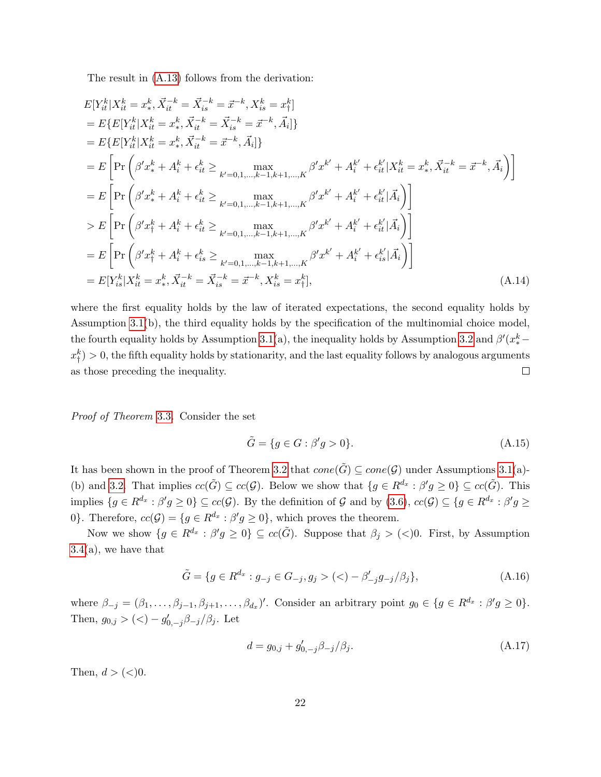The result in [\(A.13\)](#page-20-0) follows from the derivation:

$$
E[Y_{it}^{k}|X_{it}^{k} = x_{*}^{k}, \vec{X}_{it}^{-k} = \vec{X}_{is}^{-k} = \vec{x}^{-k}, X_{is}^{k} = x_{\dagger}^{k}]
$$
\n
$$
= E\{E[Y_{it}^{k}|X_{it}^{k} = x_{*}^{k}, \vec{X}_{it}^{-k} = \vec{X}_{is}^{-k} = \vec{x}^{-k}, \vec{A}_{i}]\}
$$
\n
$$
= E\{E[Y_{it}^{k}|X_{it}^{k} = x_{*}^{k}, \vec{X}_{it}^{-k} = \vec{x}^{-k}, \vec{A}_{i}]\}
$$
\n
$$
= E\left[\Pr\left(\beta'x_{*}^{k} + A_{i}^{k} + \epsilon_{it}^{k}\geq \max_{k'=0,1,\dots,k-1,k+1,\dots,K}\beta'x^{k'} + A_{i}^{k'} + \epsilon_{it}^{k'}|X_{it}^{k} = x_{*}^{k}, \vec{X}_{it}^{-k} = \vec{x}^{-k}, \vec{A}_{i}\right)\right]
$$
\n
$$
= E\left[\Pr\left(\beta'x_{*}^{k} + A_{i}^{k} + \epsilon_{it}^{k}\geq \max_{k'=0,1,\dots,k-1,k+1,\dots,K}\beta'x^{k'} + A_{i}^{k'} + \epsilon_{it}^{k'}|\vec{A}_{i}\right)\right]
$$
\n
$$
> E\left[\Pr\left(\beta'x_{*}^{k} + A_{i}^{k} + \epsilon_{it}^{k}\geq \max_{k'=0,1,\dots,k-1,k+1,\dots,K}\beta'x^{k'} + A_{i}^{k'} + \epsilon_{it}^{k'}|\vec{A}_{i}\right)\right]
$$
\n
$$
= E\left[\Pr\left(\beta'x_{i}^{k} + A_{i}^{k} + \epsilon_{is}^{k}\geq \max_{k'=0,1,\dots,k-1,k+1,\dots,K}\beta'x^{k'} + A_{i}^{k'} + \epsilon_{is}^{k'}|\vec{A}_{i}\right)\right]
$$
\n
$$
= E[Y_{is}^{k}|X_{it}^{k} = x_{*}^{k}, \vec{X}_{it}^{-k} = \vec{X}_{is}^{-k} = \vec{x}^{-k}, X_{is}^{k} = x_{i}^{k}], \qquad (A.14)
$$

where the first equality holds by the law of iterated expectations, the second equality holds by Assumption [3.1\(](#page-4-0)b), the third equality holds by the specification of the multinomial choice model, the fourth equality holds by Assumption [3.1\(](#page-4-0)a), the inequality holds by Assumption [3.2](#page-8-1) and  $\beta'(x^k_*$  $x_+^k$  $\binom{k}{\dagger}>0$ , the fifth equality holds by stationarity, and the last equality follows by analogous arguments as those preceding the inequality.  $\Box$ 

Proof of Theorem [3.3](#page-9-2). Consider the set

$$
\tilde{G} = \{ g \in G : \beta' g > 0 \}. \tag{A.15}
$$

It has been shown in the proof of Theorem [3.2](#page-8-0) that  $cone(\tilde{G}) \subseteq cone(\mathcal{G})$  under Assumptions [3.1\(](#page-4-0)a)-(b) and [3.2.](#page-8-1) That implies  $cc(\tilde{G}) \subseteq cc(\mathcal{G})$ . Below we show that  $\{g \in R^{d_x} : \beta'g \geq 0\} \subseteq cc(\tilde{G})$ . This implies  $\{g \in R^{d_x} : \beta'g \ge 0\} \subseteq cc(\mathcal{G})$ . By the definition of  $\mathcal G$  and by  $(3.6)$ ,  $cc(\mathcal{G}) \subseteq \{g \in R^{d_x} : \beta'g \ge 0\}$ 0}. Therefore,  $cc(\mathcal{G}) = \{ g \in R^{d_x} : \beta' g \ge 0 \}$ , which proves the theorem.

Now we show  $\{g \in R^{d_x} : \beta'g \geq 0\} \subseteq cc(\tilde{G})$ . Suppose that  $\beta_j > (<)0$ . First, by Assumption  $3.4(a)$  $3.4(a)$ , we have that

$$
\tilde{G} = \{ g \in R^{d_x} : g_{-j} \in G_{-j}, g_j > (\langle -\beta'_{-j}g_{-j}/\beta_j \},\tag{A.16}
$$

where  $\beta_{-j} = (\beta_1, \ldots, \beta_{j-1}, \beta_{j+1}, \ldots, \beta_{d_x})'$ . Consider an arbitrary point  $g_0 \in \{g \in R^{d_x} : \beta'g \ge 0\}$ . Then,  $g_{0,j} > (0) - g'_{0,-j} \beta_{-j}/\beta_j$ . Let

<span id="page-21-0"></span>
$$
d = g_{0,j} + g'_{0,-j}\beta_{-j}/\beta_j.
$$
\n(A.17)

Then,  $d > (<)0$ .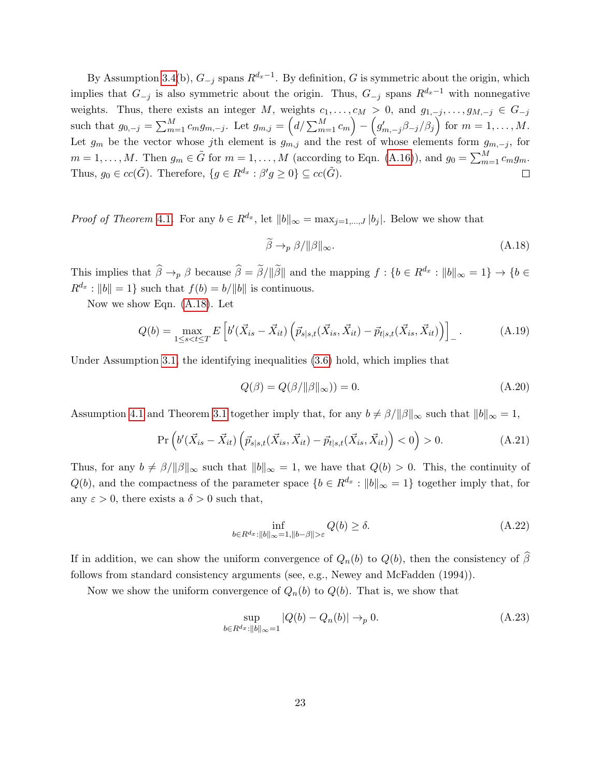By Assumption [3.4\(](#page-9-1)b),  $G_{-j}$  spans  $R^{d_x-1}$ . By definition, G is symmetric about the origin, which implies that  $G_{-j}$  is also symmetric about the origin. Thus,  $G_{-j}$  spans  $R^{d_x-1}$  with nonnegative weights. Thus, there exists an integer M, weights  $c_1, \ldots, c_M > 0$ , and  $g_{1,-j}, \ldots, g_{M,-j} \in G_{-j}$ such that  $g_{0,-j} = \sum_{m=1}^{M} c_m g_{m,-j}$ . Let  $g_{m,j} = \left( d / \sum_{m=1}^{M} c_m \right) - \left( g'_{m,-j} \beta_{-j} / \beta_j \right)$  for  $m = 1, \ldots, M$ . Let  $g_m$  be the vector whose jth element is  $g_{m,j}$  and the rest of whose elements form  $g_{m,-j}$ , for  $m = 1, \ldots, M$ . Then  $g_m \in \tilde{G}$  for  $m = 1, \ldots, M$  (according to Eqn. [\(A.16\)](#page-21-0)), and  $g_0 = \sum_{m=1}^{M} c_m g_m$ . Thus,  $g_0 \in cc(\tilde{G})$ . Therefore,  $\{g \in R^{d_x} : \beta'g \ge 0\} \subseteq cc(\tilde{G})$ .  $\Box$ 

*Proof of Theorem [4.1](#page-11-2).* For any  $b \in R^{d_x}$ , let  $||b||_{\infty} = \max_{j=1,\dots,J} |b_j|$ . Below we show that

<span id="page-22-0"></span>
$$
\widetilde{\beta} \to_p \beta / \|\beta\|_{\infty}.\tag{A.18}
$$

This implies that  $\hat{\beta} \to_p \beta$  because  $\hat{\beta} = \tilde{\beta}/\|\tilde{\beta}\|$  and the mapping  $f : \{b \in R^{d_x} : \|b\|_{\infty} = 1\} \to \{b \in R^{d_x} : \|b\|_{\infty} = 1\}$  $R^{d_x}: \|b\|=1$  such that  $f(b) = b/\|b\|$  is continuous.

Now we show Eqn. [\(A.18\)](#page-22-0). Let

$$
Q(b) = \max_{1 \le s < t \le T} E\left[b'(\vec{X}_{is} - \vec{X}_{it})\left(\vec{p}_{s|s,t}(\vec{X}_{is}, \vec{X}_{it}) - \vec{p}_{t|s,t}(\vec{X}_{is}, \vec{X}_{it})\right)\right]_{-}.
$$
 (A.19)

Under Assumption [3.1,](#page-4-0) the identifying inequalities [\(3.6\)](#page-5-1) hold, which implies that

$$
Q(\beta) = Q(\beta/\|\beta\|\infty)) = 0.
$$
\n(A.20)

Assumption [4.1](#page-11-1) and Theorem [3.1](#page-6-0) together imply that, for any  $b \neq \beta/\|\beta\|_{\infty}$  such that  $\|b\|_{\infty} = 1$ ,

$$
\Pr\left(b'(\vec{X}_{is} - \vec{X}_{it})\left(\vec{p}_{s|s,t}(\vec{X}_{is}, \vec{X}_{it}) - \vec{p}_{t|s,t}(\vec{X}_{is}, \vec{X}_{it})\right) < 0\right) > 0. \tag{A.21}
$$

Thus, for any  $b \neq \beta/\|\beta\|_{\infty}$  such that  $\|b\|_{\infty} = 1$ , we have that  $Q(b) > 0$ . This, the continuity of  $Q(b)$ , and the compactness of the parameter space  $\{b \in R^{d_x} : ||b||_{\infty} = 1\}$  together imply that, for any  $\varepsilon > 0$ , there exists a  $\delta > 0$  such that,

$$
\inf_{b \in R^{d_x} : ||b||_{\infty} = 1, ||b - \beta|| > \varepsilon} Q(b) \ge \delta.
$$
\n(A.22)

If in addition, we can show the uniform convergence of  $Q_n(b)$  to  $Q(b)$ , then the consistency of  $\beta$ follows from standard consistency arguments (see, e.g., Newey and McFadden (1994)).

Now we show the uniform convergence of  $Q_n(b)$  to  $Q(b)$ . That is, we show that

<span id="page-22-1"></span>
$$
\sup_{b \in R^{d_x}: ||b||_{\infty}=1} |Q(b) - Q_n(b)| \to_p 0.
$$
\n(A.23)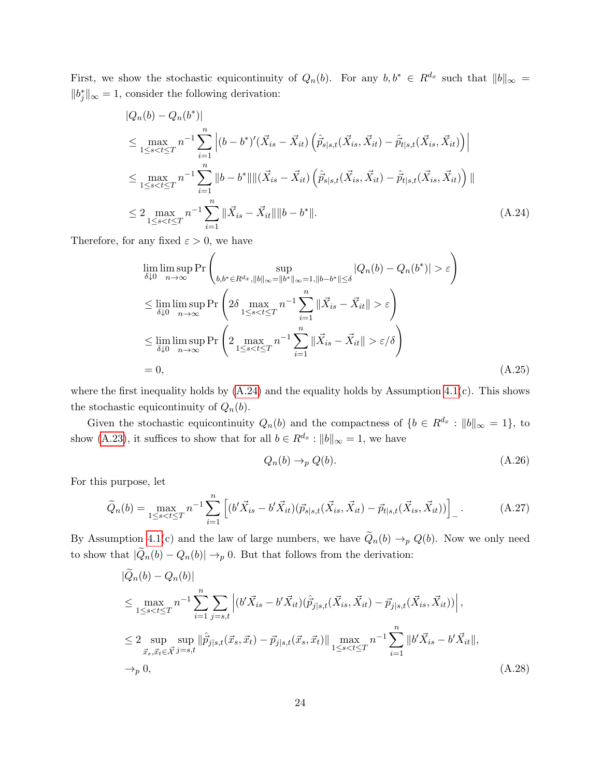First, we show the stochastic equicontinuity of  $Q_n(b)$ . For any  $b, b^* \in R^{d_x}$  such that  $||b||_{\infty} =$  $||b_j^*||_{\infty} = 1$ , consider the following derivation:

$$
|Q_n(b) - Q_n(b^*)|
$$
  
\n
$$
\leq \max_{1 \leq s < t \leq T} n^{-1} \sum_{i=1}^n \left| (b - b^*)'(\vec{X}_{is} - \vec{X}_{it}) \left( \hat{p}_{s|s,t}(\vec{X}_{is}, \vec{X}_{it}) - \hat{p}_{t|s,t}(\vec{X}_{is}, \vec{X}_{it}) \right) \right|
$$
  
\n
$$
\leq \max_{1 \leq s < t \leq T} n^{-1} \sum_{i=1}^n \|b - b^*\| \| (\vec{X}_{is} - \vec{X}_{it}) \left( \hat{p}_{s|s,t}(\vec{X}_{is}, \vec{X}_{it}) - \hat{p}_{t|s,t}(\vec{X}_{is}, \vec{X}_{it}) \right) \|
$$
  
\n
$$
\leq 2 \max_{1 \leq s < t \leq T} n^{-1} \sum_{i=1}^n \|\vec{X}_{is} - \vec{X}_{it}\| \|b - b^*\|.
$$
 (A.24)

Therefore, for any fixed  $\varepsilon > 0$ , we have

$$
\lim_{\delta \downarrow 0} \limsup_{n \to \infty} \Pr \left( \sup_{b, b^* \in R^{d_x}, ||b||_{\infty} = ||b^*||_{\infty} = 1, ||b - b^*|| \leq \delta} |Q_n(b) - Q_n(b^*)| > \varepsilon \right)
$$
\n
$$
\leq \lim_{\delta \downarrow 0} \limsup_{n \to \infty} \Pr \left( 2\delta \max_{1 \leq s < t \leq T} n^{-1} \sum_{i=1}^n ||\vec{X}_{is} - \vec{X}_{it}|| > \varepsilon \right)
$$
\n
$$
\leq \lim_{\delta \downarrow 0} \limsup_{n \to \infty} \Pr \left( 2 \max_{1 \leq s < t \leq T} n^{-1} \sum_{i=1}^n ||\vec{X}_{is} - \vec{X}_{it}|| > \varepsilon/\delta \right)
$$
\n
$$
= 0, \tag{A.25}
$$

where the first inequality holds by  $(A.24)$  and the equality holds by Assumption [4.1\(](#page-11-1)c). This shows the stochastic equicontinuity of  $Q_n(b)$ .

Given the stochastic equicontinuity  $Q_n(b)$  and the compactness of  $\{b \in R^{d_x} : ||b||_{\infty} = 1\}$ , to show [\(A.23\)](#page-22-1), it suffices to show that for all  $b \in R^{d_x} : ||b||_{\infty} = 1$ , we have

<span id="page-23-0"></span>
$$
Q_n(b) \to_p Q(b). \tag{A.26}
$$

For this purpose, let

$$
\widetilde{Q}_n(b) = \max_{1 \le s < t \le T} n^{-1} \sum_{i=1}^n \left[ (b' \vec{X}_{is} - b' \vec{X}_{it}) (\vec{p}_{s|s,t}(\vec{X}_{is}, \vec{X}_{it}) - \vec{p}_{t|s,t}(\vec{X}_{is}, \vec{X}_{it})) \right]_-\tag{A.27}
$$

By Assumption [4.1\(](#page-11-1)c) and the law of large numbers, we have  $\tilde{Q}_n(b) \to_p Q(b)$ . Now we only need to show that  $|\widetilde{Q}_n(b) - Q_n(b)| \to_p 0$ . But that follows from the derivation:

$$
\begin{split}\n|\widetilde{Q}_{n}(b) - Q_{n}(b)| \\
&\leq \max_{1 \leq s < t \leq T} n^{-1} \sum_{i=1}^{n} \sum_{j=s,t} \left| (b' \vec{X}_{is} - b' \vec{X}_{it}) (\hat{p}_{j|s,t}(\vec{X}_{is}, \vec{X}_{it}) - \vec{p}_{j|s,t}(\vec{X}_{is}, \vec{X}_{it})) \right|, \\
&\leq 2 \sup_{\vec{x}_{s}, \vec{x}_{t} \in \vec{\mathcal{X}}} \sup_{j=s,t} \|\hat{p}_{j|s,t}(\vec{x}_{s}, \vec{x}_{t}) - \vec{p}_{j|s,t}(\vec{x}_{s}, \vec{x}_{t})\| \max_{1 \leq s < t \leq T} n^{-1} \sum_{i=1}^{n} \|b' \vec{X}_{is} - b' \vec{X}_{it} \|, \\
&\to_{p} 0,\n\end{split} \tag{A.28}
$$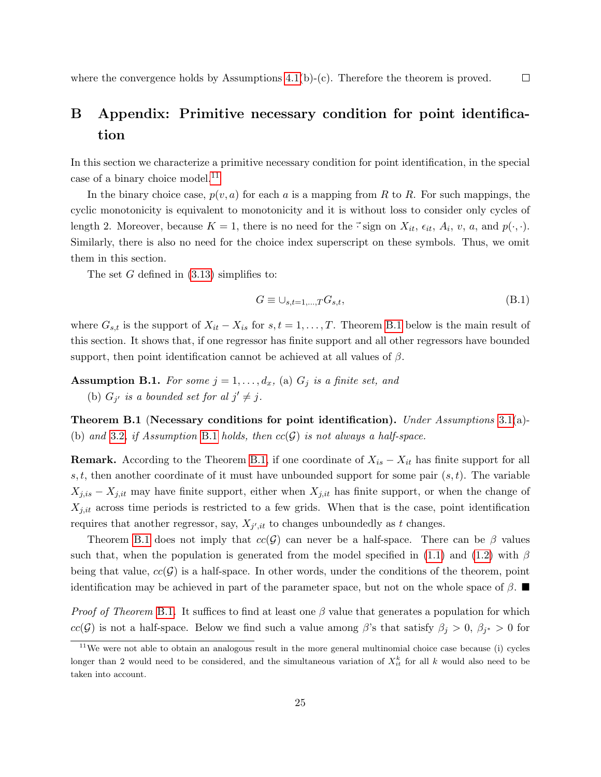where the convergence holds by Assumptions  $4.1(b)-(c)$ . Therefore the theorem is proved.

# <span id="page-24-0"></span>B Appendix: Primitive necessary condition for point identification

In this section we characterize a primitive necessary condition for point identification, in the special case of a binary choice model.<sup>[11](#page-24-1)</sup>

In the binary choice case,  $p(v, a)$  for each a is a mapping from R to R. For such mappings, the cyclic monotonicity is equivalent to monotonicity and it is without loss to consider only cycles of length 2. Moreover, because  $K = 1$ , there is no need for the  $\vec{\cdot}$  sign on  $X_{it}$ ,  $\epsilon_{it}$ ,  $A_i$ ,  $v$ ,  $a$ , and  $p(\cdot, \cdot)$ . Similarly, there is also no need for the choice index superscript on these symbols. Thus, we omit them in this section.

The set  $G$  defined in  $(3.13)$  simplifies to:

$$
G \equiv \cup_{s,t=1,\dots,T} G_{s,t},\tag{B.1}
$$

 $\Box$ 

where  $G_{s,t}$  is the support of  $X_{it} - X_{is}$  for  $s, t = 1, \ldots, T$ . Theorem [B.1](#page-24-2) below is the main result of this section. It shows that, if one regressor has finite support and all other regressors have bounded support, then point identification cannot be achieved at all values of  $\beta$ .

<span id="page-24-3"></span>**Assumption B.1.** For some  $j = 1, \ldots, d_x$ , (a)  $G_j$  is a finite set, and (b)  $G_{j'}$  is a bounded set for al  $j' \neq j$ .

<span id="page-24-2"></span>**Theorem B.1** (Necessary conditions for point identification). Under Assumptions [3.1\(](#page-4-0)a)-(b) and [3.2](#page-8-1), if Assumption [B.1](#page-24-3) holds, then  $cc(G)$  is not always a half-space.

**Remark.** According to the Theorem [B.1,](#page-24-2) if one coordinate of  $X_{is} - X_{it}$  has finite support for all s, t, then another coordinate of it must have unbounded support for some pair  $(s, t)$ . The variable  $X_{j,is} - X_{j,it}$  may have finite support, either when  $X_{j,it}$  has finite support, or when the change of  $X_{j,it}$  across time periods is restricted to a few grids. When that is the case, point identification requires that another regressor, say,  $X_{j',it}$  to changes unboundedly as t changes.

Theorem [B.1](#page-24-2) does not imply that  $cc(\mathcal{G})$  can never be a half-space. There can be  $\beta$  values such that, when the population is generated from the model specified in [\(1.1\)](#page-0-0) and [\(1.2\)](#page-1-1) with  $\beta$ being that value,  $cc(G)$  is a half-space. In other words, under the conditions of the theorem, point identification may be achieved in part of the parameter space, but not on the whole space of  $\beta$ .

*Proof of Theorem [B.1](#page-24-2).* It suffices to find at least one  $\beta$  value that generates a population for which  $cc(\mathcal{G})$  is not a half-space. Below we find such a value among  $\beta$ 's that satisfy  $\beta_j > 0$ ,  $\beta_{j^*} > 0$  for

<span id="page-24-1"></span> $11$ We were not able to obtain an analogous result in the more general multinomial choice case because (i) cycles longer than 2 would need to be considered, and the simultaneous variation of  $X_{it}^k$  for all k would also need to be taken into account.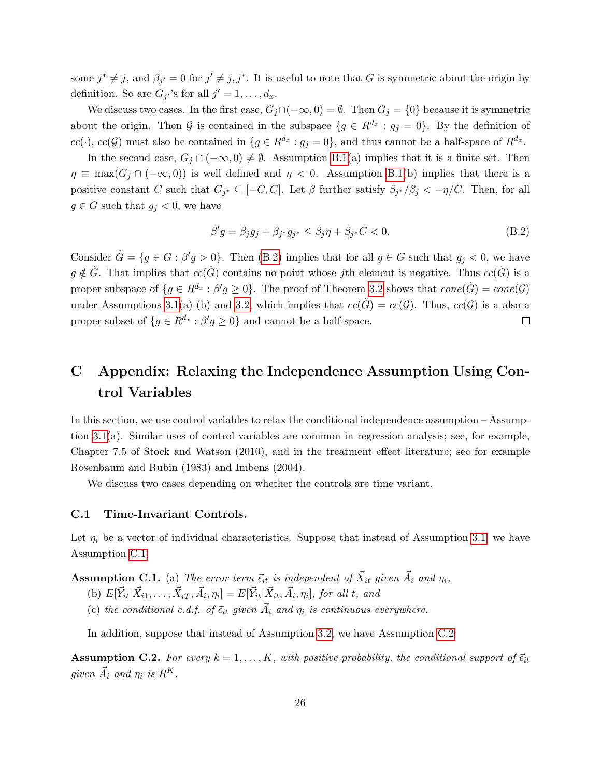some  $j^* \neq j$ , and  $\beta_{j'} = 0$  for  $j' \neq j, j^*$ . It is useful to note that G is symmetric about the origin by definition. So are  $G_{j'}$ 's for all  $j' = 1, \ldots, d_x$ .

We discuss two cases. In the first case,  $G_i \cap (-\infty, 0) = \emptyset$ . Then  $G_i = \{0\}$  because it is symmetric about the origin. Then G is contained in the subspace  $\{g \in R^{d_x} : g_j = 0\}$ . By the definition of  $cc(\cdot)$ ,  $cc(\mathcal{G})$  must also be contained in  $\{g \in R^{d_x} : g_j = 0\}$ , and thus cannot be a half-space of  $R^{d_x}$ .

In the second case,  $G_i \cap (-\infty, 0) \neq \emptyset$ . Assumption [B.1\(](#page-24-3)a) implies that it is a finite set. Then  $\eta \equiv \max(G_i \cap (-\infty, 0))$  is well defined and  $\eta < 0$ . Assumption [B.1\(](#page-24-3)b) implies that there is a positive constant C such that  $G_{j^*} \subseteq [-C, C]$ . Let  $\beta$  further satisfy  $\beta_{j^*}/\beta_j < -\eta/C$ . Then, for all  $g \in G$  such that  $g_j < 0$ , we have

<span id="page-25-1"></span>
$$
\beta'g = \beta_j g_j + \beta_{j^*} g_{j^*} \le \beta_j \eta + \beta_{j^*} C < 0. \tag{B.2}
$$

Consider  $\tilde{G} = \{g \in G : \beta'g > 0\}$ . Then [\(B.2\)](#page-25-1) implies that for all  $g \in G$  such that  $g_j < 0$ , we have  $g \notin \tilde{G}$ . That implies that  $cc(\tilde{G})$  contains no point whose jth element is negative. Thus  $cc(\tilde{G})$  is a proper subspace of  $\{g \in R^{d_x} : \beta'g \ge 0\}$ . The proof of Theorem [3.2](#page-8-0) shows that  $cone(\tilde{G}) = cone(\mathcal{G})$ under Assumptions [3.1\(](#page-4-0)a)-(b) and [3.2,](#page-8-1) which implies that  $cc(\tilde{G}) = cc(\mathcal{G})$ . Thus,  $cc(\mathcal{G})$  is a also a proper subset of  $\{g \in R^{d_x} : \beta'g \ge 0\}$  and cannot be a half-space. □

## <span id="page-25-0"></span>C Appendix: Relaxing the Independence Assumption Using Control Variables

In this section, we use control variables to relax the conditional independence assumption – Assumption [3.1\(](#page-4-0)a). Similar uses of control variables are common in regression analysis; see, for example, Chapter 7.5 of Stock and Watson (2010), and in the treatment effect literature; see for example Rosenbaum and Rubin (1983) and Imbens (2004).

We discuss two cases depending on whether the controls are time variant.

#### C.1 Time-Invariant Controls.

Let  $\eta_i$  be a vector of individual characteristics. Suppose that instead of Assumption [3.1,](#page-4-0) we have Assumption [C.1:](#page-25-2)

<span id="page-25-2"></span>**Assumption C.1.** (a) The error term  $\vec{\epsilon}_{it}$  is independent of  $\vec{X}_{it}$  given  $\vec{A}_i$  and  $\eta_i$ ,

- (b)  $E[\vec{Y}_{it} | \vec{X}_{i1}, \dots, \vec{X}_{iT}, \vec{A}_i, \eta_i] = E[\vec{Y}_{it} | \vec{X}_{it}, \vec{A}_i, \eta_i]$ , for all t, and
- (c) the conditional c.d.f. of  $\vec{\epsilon}_{it}$  given  $\vec{A}_i$  and  $\eta_i$  is continuous everywhere.

In addition, suppose that instead of Assumption [3.2,](#page-8-1) we have Assumption [C.2:](#page-25-3)

<span id="page-25-3"></span>**Assumption C.2.** For every  $k = 1, ..., K$ , with positive probability, the conditional support of  $\vec{\epsilon}_{it}$ given  $\vec{A}_i$  and  $\eta_i$  is  $R^K$ .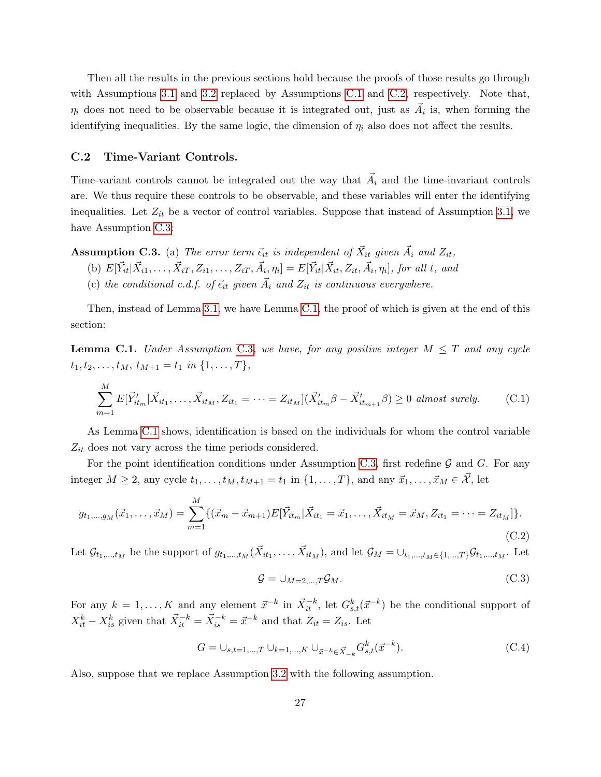Then all the results in the previous sections hold because the proofs of those results go through with Assumptions [3.1](#page-4-0) and [3.2](#page-8-1) replaced by Assumptions [C.1](#page-25-2) and [C.2,](#page-25-3) respectively. Note that,  $\eta_i$  does not need to be observable because it is integrated out, just as  $\vec{A}_i$  is, when forming the identifying inequalities. By the same logic, the dimension of  $\eta_i$  also does not affect the results.

#### C.2 Time-Variant Controls.

Time-variant controls cannot be integrated out the way that  $\vec{A}_i$  and the time-invariant controls are. We thus require these controls to be observable, and these variables will enter the identifying inequalities. Let  $Z_{it}$  be a vector of control variables. Suppose that instead of Assumption [3.1,](#page-4-0) we have Assumption [C.3:](#page-26-0)

<span id="page-26-0"></span>**Assumption C.3.** (a) The error term  $\vec{\epsilon}_{it}$  is independent of  $\vec{X}_{it}$  given  $\vec{A}_i$  and  $Z_{it}$ ,

- (b)  $E[\vec{Y}_{it} | \vec{X}_{i1}, \dots, \vec{X}_{iT}, Z_{i1}, \dots, Z_{iT}, \vec{A}_i, \eta_i] = E[\vec{Y}_{it} | \vec{X}_{it}, Z_{it}, \vec{A}_i, \eta_i]$ , for all t, and
- (c) the conditional c.d.f. of  $\vec{\epsilon}_{it}$  given  $\vec{A}_i$  and  $Z_{it}$  is continuous everywhere.

Then, instead of Lemma [3.1,](#page-5-2) we have Lemma [C.1,](#page-26-1) the proof of which is given at the end of this section:

<span id="page-26-1"></span>**Lemma C.1.** Under Assumption [C.3](#page-26-0), we have, for any positive integer  $M \leq T$  and any cycle  $t_1, t_2, \ldots, t_M, t_{M+1} = t_1 \text{ in } \{1, \ldots, T\},$ 

$$
\sum_{m=1}^{M} E[\vec{Y}_{it_m}^{\prime} | \vec{X}_{it_1}, \dots, \vec{X}_{it_M}, Z_{it_1} = \dots = Z_{it_M}] (\vec{X}_{it_m}^{\prime} \beta - \vec{X}_{it_{m+1}}^{\prime} \beta) \ge 0 \text{ almost surely.} \tag{C.1}
$$

As Lemma [C.1](#page-26-1) shows, identification is based on the individuals for whom the control variable  $Z_{it}$  does not vary across the time periods considered.

For the point identification conditions under Assumption [C.3,](#page-26-0) first redefine  $\mathcal G$  and  $G$ . For any integer  $M \geq 2$ , any cycle  $t_1, \ldots, t_M, t_{M+1} = t_1$  in  $\{1, \ldots, T\}$ , and any  $\vec{x}_1, \ldots, \vec{x}_M \in \vec{\mathcal{X}}$ , let

$$
g_{t_1,\dots,f_M}(\vec{x}_1,\dots,\vec{x}_M) = \sum_{m=1}^M \{ (\vec{x}_m - \vec{x}_{m+1}) E[\vec{Y}_{it_m} | \vec{X}_{it_1} = \vec{x}_1,\dots,\vec{X}_{it_M} = \vec{x}_M, Z_{it_1} = \dots = Z_{it_M}] \}.
$$
\n(C.2)

Let  $\mathcal{G}_{t_1,\dots,t_M}$  be the support of  $g_{t_1,\dots,t_M}(\vec{X}_{it_1},\dots,\vec{X}_{it_M})$ , and let  $\mathcal{G}_M=\cup_{t_1,\dots,t_M\in\{1,\dots,T\}}\mathcal{G}_{t_1,\dots,t_M}$ . Let

$$
\mathcal{G} = \cup_{M=2,\dots,T} \mathcal{G}_M. \tag{C.3}
$$

For any  $k = 1, ..., K$  and any element  $\vec{x}^{-k}$  in  $\vec{X}_{it}^{-k}$ , let  $G_{s,t}^k(\vec{x}^{-k})$  be the conditional support of  $X_{it}^k - X_{is}^k$  given that  $\vec{X}_{it}^{-k} = \vec{X}_{is}^{-k} = \vec{x}^{-k}$  and that  $Z_{it} = Z_{is}$ . Let

$$
G = \bigcup_{s,t=1,\dots,T} \bigcup_{k=1,\dots,K} \bigcup_{\vec{x}^{-k} \in \vec{X}_{-k}} G^k_{s,t}(\vec{x}^{-k}).
$$
\n(C.4)

Also, suppose that we replace Assumption [3.2](#page-8-1) with the following assumption.